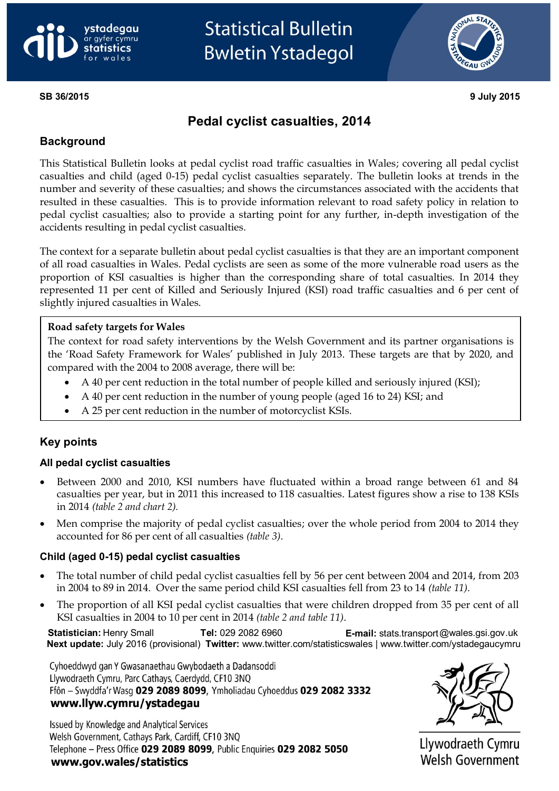



### **SB 36/2015 9 July 2015**

# **Pedal cyclist casualties, 2014**

#### **Background**

This Statistical Bulletin looks at pedal cyclist road traffic casualties in Wales; covering all pedal cyclist casualties and child (aged 0-15) pedal cyclist casualties separately. The bulletin looks at trends in the number and severity of these casualties; and shows the circumstances associated with the accidents that resulted in these casualties. This is to provide information relevant to road safety policy in relation to pedal cyclist casualties; also to provide a starting point for any further, in-depth investigation of the accidents resulting in pedal cyclist casualties.

The context for a separate bulletin about pedal cyclist casualties is that they are an important component of all road casualties in Wales. Pedal cyclists are seen as some of the more vulnerable road users as the proportion of KSI casualties is higher than the corresponding share of total casualties. In 2014 they represented 11 per cent of Killed and Seriously Injured (KSI) road traffic casualties and 6 per cent of slightly injured casualties in Wales.

#### **Road safety targets for Wales**

The context for road safety interventions by the Welsh Government and its partner organisations is the 'Road Safety Framework for Wales' published in July 2013. These targets are that by 2020, and compared with the 2004 to 2008 average, there will be:

- A 40 per cent reduction in the total number of people killed and seriously injured (KSI);
- A 40 per cent reduction in the number of young people (aged 16 to 24) KSI; and
- A 25 per cent reduction in the number of motorcyclist KSIs.

#### **Key points**

#### **All pedal cyclist casualties**

- Between 2000 and 2010, KSI numbers have fluctuated within a broad range between 61 and 84 casualties per year, but in 2011 this increased to 118 casualties. Latest figures show a rise to 138 KSIs in 2014 *(table 2 and chart 2).*
- Men comprise the majority of pedal cyclist casualties; over the whole period from 2004 to 2014 they accounted for 86 per cent of all casualties *(table 3)*.

#### **Child (aged 0-15) pedal cyclist casualties**

- The total number of child pedal cyclist casualties fell by 56 per cent between 2004 and 2014, from 203 in 2004 to 89 in 2014. Over the same period child KSI casualties fell from 23 to 14 *(table 11)*.
- The proportion of all KSI pedal cyclist casualties that were children dropped from 35 per cent of all KSI casualties in 2004 to 10 per cent in 2014 *(table 2 and table 11)*.

**Statistician:** Henry Small  **Tel:** 029 2082 6960 **E-mail:** [stats.transport@wales.gsi.gov.uk](mailto:stats.transport@wales.gsi.gov.uk) **Next update:** July 2016 (provisional) **Twitter:** www.twitter.com/statisticswales | www.twitter.com/ystadegaucymru

Cyhoeddwyd gan Y Gwasanaethau Gwybodaeth a Dadansoddi Llywodraeth Cymru, Parc Cathays, Caerdydd, CF10 3NQ Ffôn - Swyddfa'r Wasg 029 2089 8099, Ymholiadau Cyhoeddus 029 2082 3332 www.llyw.cymru/ystadegau

Issued by Knowledge and Analytical Services Welsh Government, Cathays Park, Cardiff, CF10 3NQ Telephone - Press Office 029 2089 8099, Public Enquiries 029 2082 5050 www.gov.wales/statistics



Llywodraeth Cymru Welsh Government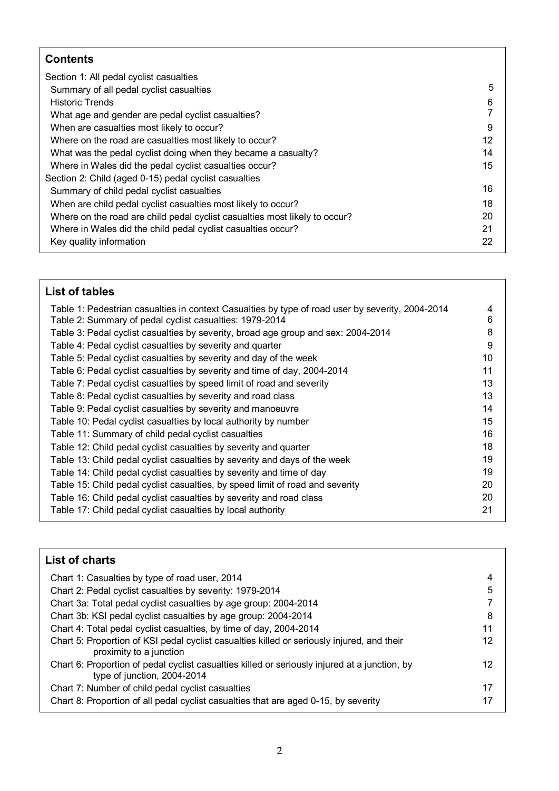# **Contents**

| Section 1: All pedal cyclist casualties                                    |    |
|----------------------------------------------------------------------------|----|
| Summary of all pedal cyclist casualties                                    | 5  |
| <b>Historic Trends</b>                                                     | 6  |
| What age and gender are pedal cyclist casualties?                          |    |
| When are casualties most likely to occur?                                  | 9  |
| Where on the road are casualties most likely to occur?                     | 12 |
| What was the pedal cyclist doing when they became a casualty?              | 14 |
| Where in Wales did the pedal cyclist casualties occur?                     | 15 |
| Section 2: Child (aged 0-15) pedal cyclist casualties                      |    |
| Summary of child pedal cyclist casualties                                  | 16 |
| When are child pedal cyclist casualties most likely to occur?              | 18 |
| Where on the road are child pedal cyclist casualties most likely to occur? | 20 |
| Where in Wales did the child pedal cyclist casualties occur?               | 21 |
| Key quality information                                                    | 22 |
|                                                                            |    |

| List of tables                                                                                   |    |
|--------------------------------------------------------------------------------------------------|----|
| Table 1: Pedestrian casualties in context Casualties by type of road user by severity, 2004-2014 | 4  |
| Table 2: Summary of pedal cyclist casualties: 1979-2014                                          | 6  |
| Table 3: Pedal cyclist casualties by severity, broad age group and sex: 2004-2014                | 8  |
| Table 4: Pedal cyclist casualties by severity and quarter                                        | 9  |
| Table 5: Pedal cyclist casualties by severity and day of the week                                | 10 |
| Table 6: Pedal cyclist casualties by severity and time of day, 2004-2014                         | 11 |
| Table 7: Pedal cyclist casualties by speed limit of road and severity                            | 13 |
| Table 8: Pedal cyclist casualties by severity and road class                                     | 13 |
| Table 9: Pedal cyclist casualties by severity and manoeuvre                                      | 14 |
| Table 10: Pedal cyclist casualties by local authority by number                                  | 15 |
| Table 11: Summary of child pedal cyclist casualties                                              | 16 |
| Table 12: Child pedal cyclist casualties by severity and quarter                                 | 18 |
| Table 13: Child pedal cyclist casualties by severity and days of the week                        | 19 |
| Table 14: Child pedal cyclist casualties by severity and time of day                             | 19 |
| Table 15: Child pedal cyclist casualties, by speed limit of road and severity                    | 20 |
| Table 16: Child pedal cyclist casualties by severity and road class                              | 20 |
| Table 17: Child pedal cyclist casualties by local authority                                      | 21 |

| <b>List of charts</b>                                                                                                        |    |
|------------------------------------------------------------------------------------------------------------------------------|----|
| Chart 1: Casualties by type of road user, 2014                                                                               | 4  |
| Chart 2: Pedal cyclist casualties by severity: 1979-2014                                                                     | 5  |
| Chart 3a: Total pedal cyclist casualties by age group: 2004-2014                                                             |    |
| Chart 3b: KSI pedal cyclist casualties by age group: 2004-2014                                                               | 8  |
| Chart 4: Total pedal cyclist casualties, by time of day, 2004-2014                                                           | 11 |
| Chart 5: Proportion of KSI pedal cyclist casualties killed or seriously injured, and their<br>proximity to a junction        | 12 |
| Chart 6: Proportion of pedal cyclist casualties killed or seriously injured at a junction, by<br>type of junction, 2004-2014 | 12 |
| Chart 7: Number of child pedal cyclist casualties                                                                            | 17 |
| Chart 8: Proportion of all pedal cyclist casualties that are aged 0-15, by severity                                          | 17 |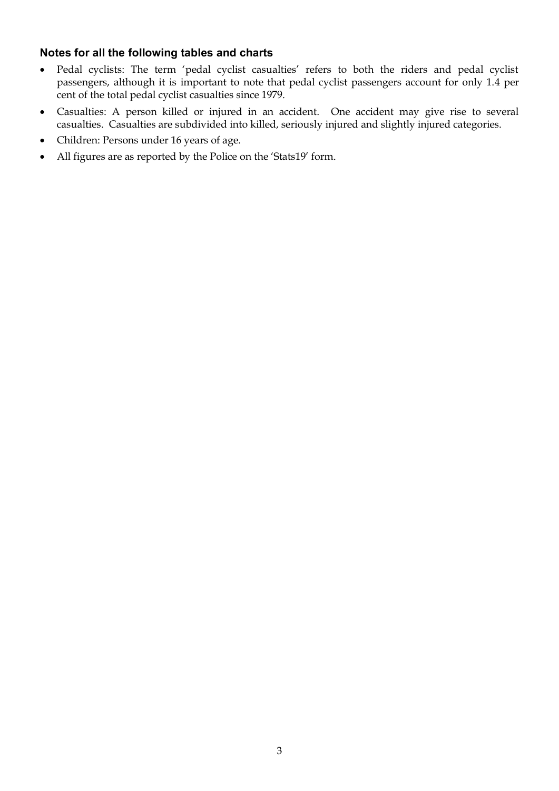# **Notes for all the following tables and charts**

- Pedal cyclists: The term 'pedal cyclist casualties' refers to both the riders and pedal cyclist passengers, although it is important to note that pedal cyclist passengers account for only 1.4 per cent of the total pedal cyclist casualties since 1979.
- Casualties: A person killed or injured in an accident. One accident may give rise to several casualties. Casualties are subdivided into killed, seriously injured and slightly injured categories.
- Children: Persons under 16 years of age.
- All figures are as reported by the Police on the 'Stats19' form.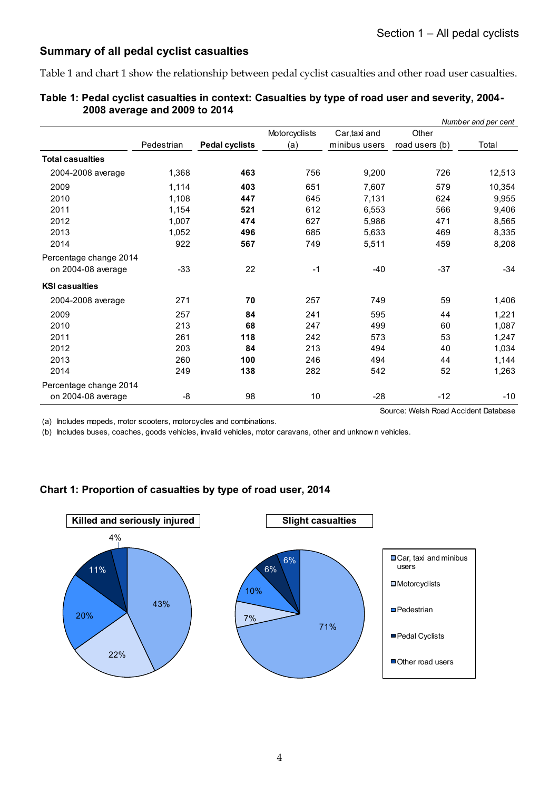# **Summary of all pedal cyclist casualties**

Table 1 and chart 1 show the relationship between pedal cyclist casualties and other road user casualties.

|                         |            |                       |               |               |                                      | Number and per cent |
|-------------------------|------------|-----------------------|---------------|---------------|--------------------------------------|---------------------|
|                         |            |                       | Motorcyclists | Car, taxi and | Other                                |                     |
|                         | Pedestrian | <b>Pedal cyclists</b> | (a)           | minibus users | road users (b)                       | Total               |
| <b>Total casualties</b> |            |                       |               |               |                                      |                     |
| 2004-2008 average       | 1,368      | 463                   | 756           | 9,200         | 726                                  | 12,513              |
| 2009                    | 1,114      | 403                   | 651           | 7.607         | 579                                  | 10,354              |
| 2010                    | 1,108      | 447                   | 645           | 7,131         | 624                                  | 9,955               |
| 2011                    | 1,154      | 521                   | 612           | 6.553         | 566                                  | 9,406               |
| 2012                    | 1,007      | 474                   | 627           | 5,986         | 471                                  | 8,565               |
| 2013                    | 1,052      | 496                   | 685           | 5,633         | 469                                  | 8,335               |
| 2014                    | 922        | 567                   | 749           | 5,511         | 459                                  | 8,208               |
| Percentage change 2014  |            |                       |               |               |                                      |                     |
| on 2004-08 average      | $-33$      | 22                    | $-1$          | $-40$         | $-37$                                | $-34$               |
| <b>KSI casualties</b>   |            |                       |               |               |                                      |                     |
| 2004-2008 average       | 271        | 70                    | 257           | 749           | 59                                   | 1,406               |
| 2009                    | 257        | 84                    | 241           | 595           | 44                                   | 1,221               |
| 2010                    | 213        | 68                    | 247           | 499           | 60                                   | 1,087               |
| 2011                    | 261        | 118                   | 242           | 573           | 53                                   | 1,247               |
| 2012                    | 203        | 84                    | 213           | 494           | 40                                   | 1,034               |
| 2013                    | 260        | 100                   | 246           | 494           | 44                                   | 1,144               |
| 2014                    | 249        | 138                   | 282           | 542           | 52                                   | 1,263               |
| Percentage change 2014  |            |                       |               |               |                                      |                     |
| on 2004-08 average      | -8         | 98                    | 10            | $-28$         | $-12$                                | $-10$               |
|                         |            |                       |               |               | Source: Welsh Road Accident Database |                     |

|                               | Table 1: Pedal cyclist casualties in context: Casualties by type of road user and severity, 2004- |
|-------------------------------|---------------------------------------------------------------------------------------------------|
| 2008 average and 2009 to 2014 |                                                                                                   |

(a) Includes mopeds, motor scooters, motorcycles and combinations.

(b) Includes buses, coaches, goods vehicles, invalid vehicles, motor caravans, other and unknow n vehicles.

# **Chart 1: Proportion of casualties by type of road user, 2014**

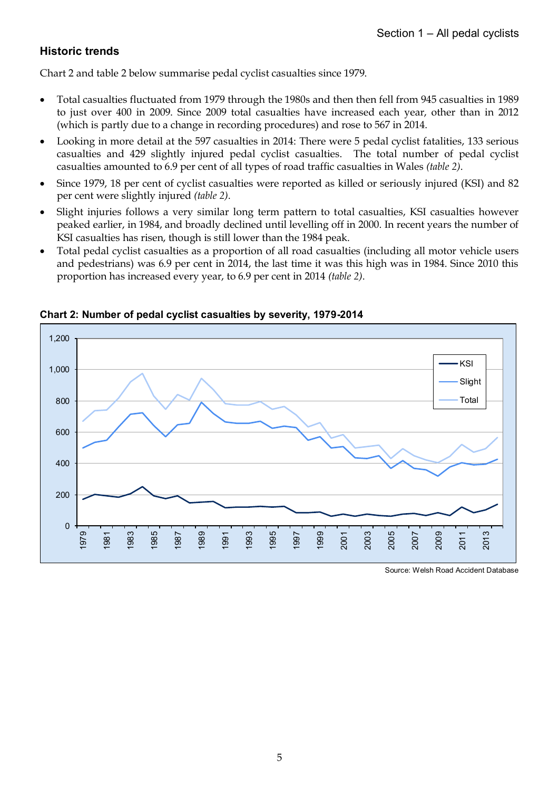# **Historic trends**

Chart 2 and table 2 below summarise pedal cyclist casualties since 1979.

- Total casualties fluctuated from 1979 through the 1980s and then then fell from 945 casualties in 1989 to just over 400 in 2009. Since 2009 total casualties have increased each year, other than in 2012 (which is partly due to a change in recording procedures) and rose to 567 in 2014.
- Looking in more detail at the 597 casualties in 2014: There were 5 pedal cyclist fatalities, 133 serious casualties and 429 slightly injured pedal cyclist casualties. The total number of pedal cyclist casualties amounted to 6.9 per cent of all types of road traffic casualties in Wales *(table 2)*.
- Since 1979, 18 per cent of cyclist casualties were reported as killed or seriously injured (KSI) and 82 per cent were slightly injured *(table 2)*.
- Slight injuries follows a very similar long term pattern to total casualties, KSI casualties however peaked earlier, in 1984, and broadly declined until levelling off in 2000. In recent years the number of KSI casualties has risen, though is still lower than the 1984 peak.
- Total pedal cyclist casualties as a proportion of all road casualties (including all motor vehicle users and pedestrians) was 6.9 per cent in 2014, the last time it was this high was in 1984. Since 2010 this proportion has increased every year, to 6.9 per cent in 2014 *(table 2)*.



**Chart 2: Number of pedal cyclist casualties by severity, 1979-2014**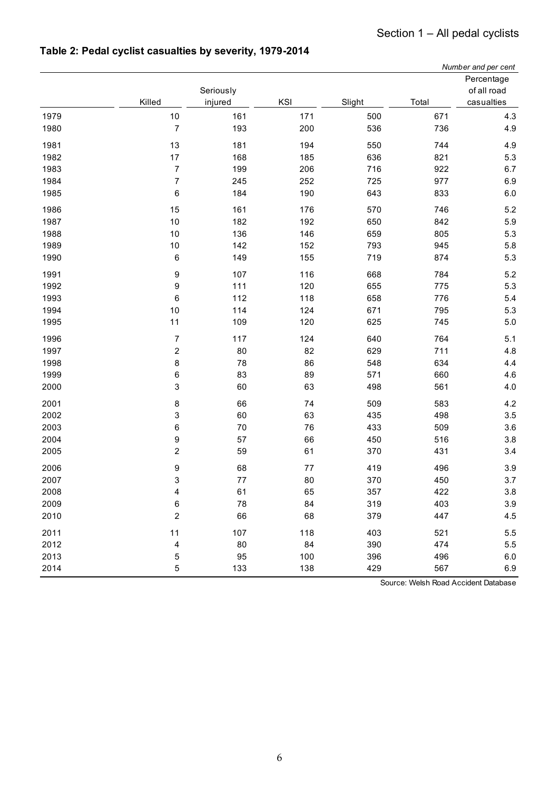|      |                          |           |     |        |       | Number and per cent |
|------|--------------------------|-----------|-----|--------|-------|---------------------|
|      |                          |           |     |        |       | Percentage          |
|      |                          | Seriously |     |        |       | of all road         |
|      | Killed                   | injured   | KSI | Slight | Total | casualties          |
| 1979 | 10                       | 161       | 171 | 500    | 671   | 4.3                 |
| 1980 | $\overline{7}$           | 193       | 200 | 536    | 736   | 4.9                 |
| 1981 | 13                       | 181       | 194 | 550    | 744   | 4.9                 |
| 1982 | 17                       | 168       | 185 | 636    | 821   | 5.3                 |
| 1983 | $\overline{\mathcal{I}}$ | 199       | 206 | 716    | 922   | 6.7                 |
| 1984 | $\overline{7}$           | 245       | 252 | 725    | 977   | 6.9                 |
| 1985 | 6                        | 184       | 190 | 643    | 833   | 6.0                 |
| 1986 | 15                       | 161       | 176 | 570    | 746   | 5.2                 |
| 1987 | 10                       | 182       | 192 | 650    | 842   | 5.9                 |
| 1988 | 10                       | 136       | 146 | 659    | 805   | 5.3                 |
| 1989 | 10                       | 142       | 152 | 793    | 945   | 5.8                 |
| 1990 | 6                        | 149       | 155 | 719    | 874   | 5.3                 |
| 1991 | 9                        | 107       | 116 | 668    | 784   | 5.2                 |
| 1992 | 9                        | 111       | 120 | 655    | 775   | 5.3                 |
| 1993 | 6                        | 112       | 118 | 658    | 776   | 5.4                 |
| 1994 | 10                       | 114       | 124 | 671    | 795   | 5.3                 |
| 1995 | 11                       | 109       | 120 | 625    | 745   | 5.0                 |
| 1996 | $\overline{\mathbf{7}}$  | 117       | 124 | 640    | 764   | 5.1                 |
| 1997 | $\overline{\mathbf{c}}$  | 80        | 82  | 629    | 711   | 4.8                 |
| 1998 | 8                        | 78        | 86  | 548    | 634   | 4.4                 |
| 1999 | 6                        | 83        | 89  | 571    | 660   | 4.6                 |
| 2000 | 3                        | 60        | 63  | 498    | 561   | 4.0                 |
| 2001 | 8                        | 66        | 74  | 509    | 583   | 4.2                 |
| 2002 | 3                        | 60        | 63  | 435    | 498   | 3.5                 |
| 2003 | 6                        | 70        | 76  | 433    | 509   | 3.6                 |
| 2004 | 9                        | 57        | 66  | 450    | 516   | $3.8\,$             |
| 2005 | 2                        | 59        | 61  | 370    | 431   | 3.4                 |
| 2006 | 9                        | 68        | 77  | 419    | 496   | 3.9                 |
| 2007 | 3                        | 77        | 80  | 370    | 450   | 3.7                 |
| 2008 | 4                        | 61        | 65  | 357    | 422   | 3.8                 |
| 2009 | 6                        | 78        | 84  | 319    | 403   | $3.9\,$             |
| 2010 | $\boldsymbol{2}$         | 66        | 68  | 379    | 447   | 4.5                 |
| 2011 | 11                       | 107       | 118 | 403    | 521   | 5.5                 |
| 2012 | 4                        | 80        | 84  | 390    | 474   | 5.5                 |
| 2013 | 5                        | 95        | 100 | 396    | 496   | 6.0                 |
| 2014 | 5                        | 133       | 138 | 429    | 567   | 6.9                 |

# **Table 2: Pedal cyclist casualties by severity, 1979-2014**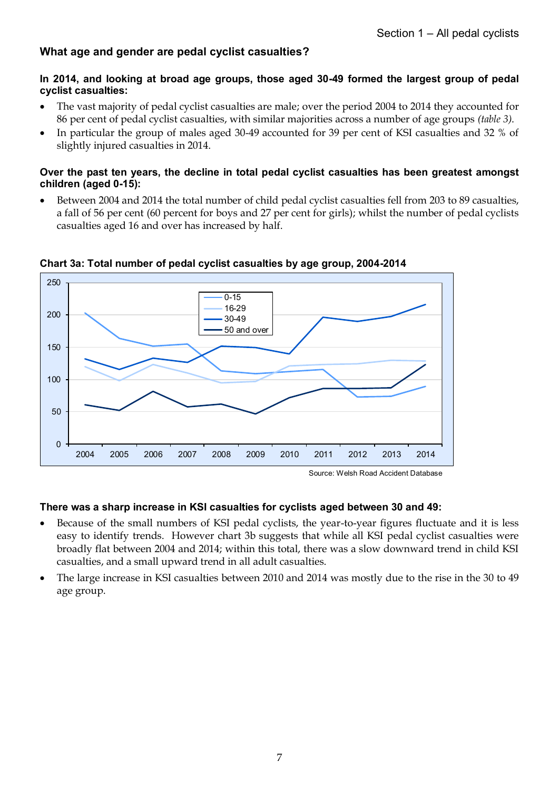# **What age and gender are pedal cyclist casualties?**

### **In 2014, and looking at broad age groups, those aged 30-49 formed the largest group of pedal cyclist casualties:**

- The vast majority of pedal cyclist casualties are male; over the period 2004 to 2014 they accounted for 86 per cent of pedal cyclist casualties, with similar majorities across a number of age groups *(table 3)*.
- In particular the group of males aged 30-49 accounted for 39 per cent of KSI casualties and 32 % of slightly injured casualties in 2014.

#### **Over the past ten years, the decline in total pedal cyclist casualties has been greatest amongst children (aged 0-15):**

 Between 2004 and 2014 the total number of child pedal cyclist casualties fell from 203 to 89 casualties, a fall of 56 per cent (60 percent for boys and 27 per cent for girls); whilst the number of pedal cyclists casualties aged 16 and over has increased by half.



#### **Chart 3a: Total number of pedal cyclist casualties by age group, 2004-2014**

Source: Welsh Road Accident Database

# **There was a sharp increase in KSI casualties for cyclists aged between 30 and 49:**

- Because of the small numbers of KSI pedal cyclists, the year-to-year figures fluctuate and it is less easy to identify trends. However chart 3b suggests that while all KSI pedal cyclist casualties were broadly flat between 2004 and 2014; within this total, there was a slow downward trend in child KSI casualties, and a small upward trend in all adult casualties.
- The large increase in KSI casualties between 2010 and 2014 was mostly due to the rise in the 30 to 49 age group.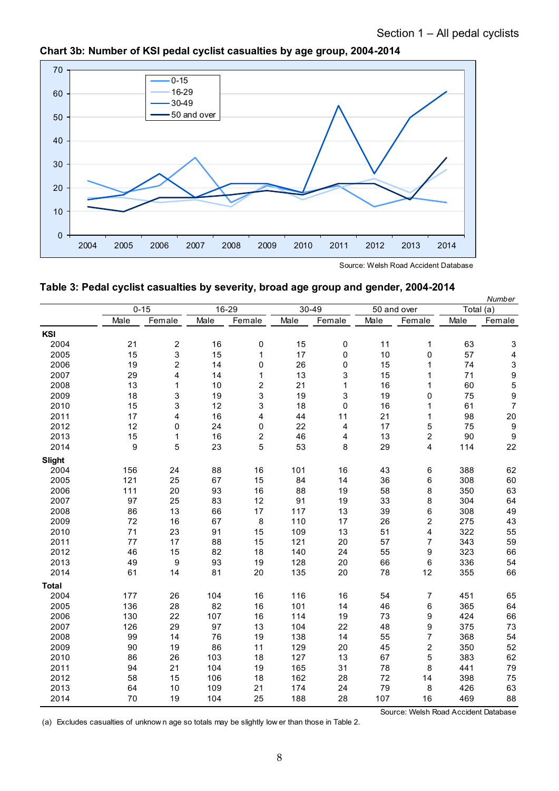

**Chart 3b: Number of KSI pedal cyclist casualties by age group, 2004-2014**

Source: Welsh Road Accident Database

| Table 3: Pedal cyclist casualties by severity, broad age group and gender, 2004-2014 |
|--------------------------------------------------------------------------------------|
|--------------------------------------------------------------------------------------|

|               |      | $0 - 15$                |      | 16-29          |      | 30-49        |      | 50 and over                          |      | Number<br>Total (a) |
|---------------|------|-------------------------|------|----------------|------|--------------|------|--------------------------------------|------|---------------------|
|               | Male | Female                  | Male | Female         | Male | Female       | Male | Female                               | Male | Female              |
| KSI           |      |                         |      |                |      |              |      |                                      |      |                     |
| 2004          | 21   | $\overline{\mathbf{c}}$ | 16   | $\pmb{0}$      | 15   | 0            | 11   | 1                                    | 63   | 3                   |
| 2005          | 15   | 3                       | 15   | $\mathbf{1}$   | 17   | 0            | 10   | 0                                    | 57   | 4                   |
| 2006          | 19   | $\overline{2}$          | 14   | 0              | 26   | 0            | 15   | 1                                    | 74   | $\mathsf 3$         |
| 2007          | 29   | 4                       | 14   | 1              | 13   | 3            | 15   | 1                                    | 71   | $\overline{9}$      |
| 2008          | 13   | 1                       | 10   | $\overline{c}$ | 21   | $\mathbf{1}$ | 16   | 1                                    | 60   | 5                   |
| 2009          | 18   | 3                       | 19   | 3              | 19   | 3            | 19   | 0                                    | 75   | 9                   |
| 2010          | 15   | 3                       | 12   | 3              | 18   | $\mathbf 0$  | 16   | 1                                    | 61   | $\overline{7}$      |
| 2011          | 17   | 4                       | 16   | 4              | 44   | 11           | 21   | 1                                    | 98   | 20                  |
| 2012          | 12   | 0                       | 24   | 0              | 22   | 4            | 17   | 5                                    | 75   | $\boldsymbol{9}$    |
| 2013          | 15   | 1                       | 16   | 2              | 46   |              | 13   | 2                                    | 90   | $\boldsymbol{9}$    |
| 2014          | 9    | 5                       | 23   | 5              | 53   | 4<br>8       | 29   | $\overline{4}$                       | 114  | 22                  |
|               |      |                         |      |                |      |              |      |                                      |      |                     |
| <b>Slight</b> |      |                         |      |                |      |              |      |                                      |      |                     |
| 2004          | 156  | 24                      | 88   | 16             | 101  | 16           | 43   | 6                                    | 388  | 62                  |
| 2005          | 121  | 25                      | 67   | 15             | 84   | 14           | 36   | 6                                    | 308  | 60                  |
| 2006          | 111  | 20                      | 93   | 16             | 88   | 19           | 58   | 8                                    | 350  | 63                  |
| 2007          | 97   | 25                      | 83   | 12             | 91   | 19           | 33   | 8                                    | 304  | 64                  |
| 2008          | 86   | 13                      | 66   | 17             | 117  | 13           | 39   | 6                                    | 308  | 49                  |
| 2009          | 72   | 16                      | 67   | 8              | 110  | 17           | 26   | 2                                    | 275  | 43                  |
| 2010          | 71   | 23                      | 91   | 15             | 109  | 13           | 51   | $\overline{\mathbf{4}}$              | 322  | 55                  |
| 2011          | 77   | 17                      | 88   | 15             | 121  | 20           | 57   | $\overline{7}$                       | 343  | 59                  |
| 2012          | 46   | 15                      | 82   | 18             | 140  | 24           | 55   | 9                                    | 323  | 66                  |
| 2013          | 49   | 9                       | 93   | 19             | 128  | 20           | 66   | 6                                    | 336  | 54                  |
| 2014          | 61   | 14                      | 81   | 20             | 135  | 20           | 78   | 12                                   | 355  | 66                  |
| <b>Total</b>  |      |                         |      |                |      |              |      |                                      |      |                     |
| 2004          | 177  | 26                      | 104  | 16             | 116  | 16           | 54   | 7                                    | 451  | 65                  |
| 2005          | 136  | 28                      | 82   | 16             | 101  | 14           | 46   | 6                                    | 365  | 64                  |
| 2006          | 130  | 22                      | 107  | 16             | 114  | 19           | 73   | 9                                    | 424  | 66                  |
| 2007          | 126  | 29                      | 97   | 13             | 104  | 22           | 48   | 9                                    | 375  | 73                  |
| 2008          | 99   | 14                      | 76   | 19             | 138  | 14           | 55   | $\overline{7}$                       | 368  | 54                  |
| 2009          | 90   | 19                      | 86   | 11             | 129  | 20           | 45   | $\boldsymbol{2}$                     | 350  | 52                  |
| 2010          | 86   | 26                      | 103  | 18             | 127  | 13           | 67   | 5                                    | 383  | 62                  |
| 2011          | 94   | 21                      | 104  | 19             | 165  | 31           | 78   | 8                                    | 441  | 79                  |
| 2012          | 58   | 15                      | 106  | 18             | 162  | 28           | 72   | 14                                   | 398  | 75                  |
| 2013          | 64   | 10                      | 109  | 21             | 174  | 24           | 79   | 8                                    | 426  | 63                  |
| 2014          | 70   | 19                      | 104  | 25             | 188  | 28           | 107  | 16                                   | 469  | 88                  |
|               |      |                         |      |                |      |              |      | Source: Welch Road Accident Database |      |                     |

(a) Excludes casualties of unknow n age so totals may be slightly low er than those in Table 2.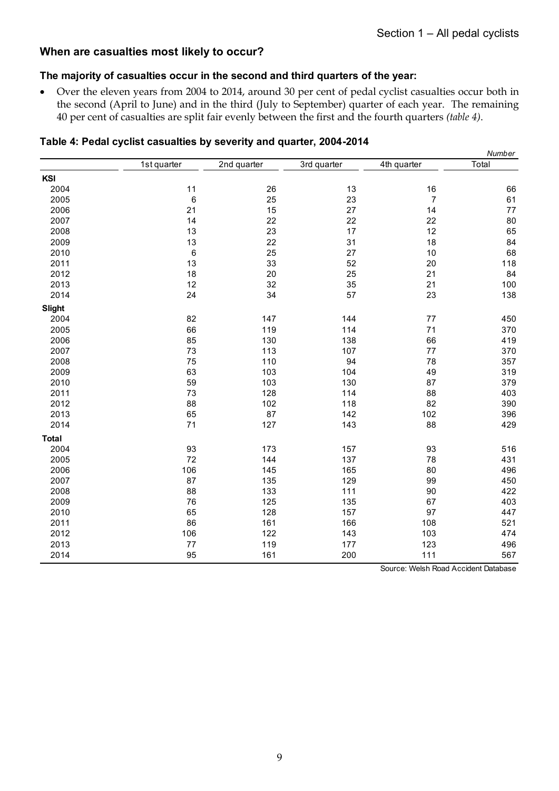# **When are casualties most likely to occur?**

#### **The majority of casualties occur in the second and third quarters of the year:**

 Over the eleven years from 2004 to 2014, around 30 per cent of pedal cyclist casualties occur both in the second (April to June) and in the third (July to September) quarter of each year. The remaining 40 per cent of casualties are split fair evenly between the first and the fourth quarters *(table 4)*.

|               |             |             |             |                         | Number |
|---------------|-------------|-------------|-------------|-------------------------|--------|
|               | 1st quarter | 2nd quarter | 3rd quarter | 4th quarter             | Total  |
| KSI           |             |             |             |                         |        |
| 2004          | 11          | 26          | $13$        | $16\,$                  | 66     |
| 2005          | 6           | 25          | 23          | $\overline{\mathbf{7}}$ | 61     |
| 2006          | 21          | 15          | 27          | 14                      | 77     |
| 2007          | 14          | 22          | 22          | 22                      | 80     |
| 2008          | 13          | 23          | 17          | 12                      | 65     |
| 2009          | 13          | 22          | 31          | 18                      | 84     |
| 2010          | $\,6\,$     | 25          | $27\,$      | $10$                    | 68     |
| 2011          | 13          | 33          | 52          | 20                      | 118    |
| 2012          | 18          | 20          | 25          | 21                      | 84     |
| 2013          | 12          | 32          | 35          | 21                      | 100    |
| 2014          | 24          | 34          | 57          | 23                      | 138    |
| <b>Slight</b> |             |             |             |                         |        |
| 2004          | 82          | 147         | 144         | $77 \,$                 | 450    |
| 2005          | 66          | 119         | 114         | $71$                    | 370    |
| 2006          | 85          | 130         | 138         | 66                      | 419    |
| 2007          | 73          | 113         | 107         | $77$                    | 370    |
| 2008          | 75          | 110         | 94          | 78                      | 357    |
| 2009          | 63          | 103         | 104         | 49                      | 319    |
| 2010          | 59          | 103         | 130         | 87                      | 379    |
| 2011          | 73          | 128         | 114         | 88                      | 403    |
| 2012          | 88          | 102         | 118         | 82                      | 390    |
| 2013          | 65          | 87          | 142         | 102                     | 396    |
| 2014          | $71$        | 127         | 143         | 88                      | 429    |
| <b>Total</b>  |             |             |             |                         |        |
| 2004          | 93          | 173         | 157         | 93                      | 516    |
| 2005          | 72          | 144         | 137         | 78                      | 431    |
| 2006          | 106         | 145         | 165         | 80                      | 496    |
| 2007          | 87          | 135         | 129         | 99                      | 450    |
| 2008          | 88          | 133         | 111         | 90                      | 422    |
| 2009          | 76          | 125         | 135         | 67                      | 403    |
| 2010          | 65          | 128         | 157         | 97                      | 447    |
| 2011          | 86          | 161         | 166         | 108                     | 521    |
| 2012          | 106         | 122         | 143         | 103                     | 474    |
| 2013          | $77 \,$     | 119         | 177         | 123                     | 496    |
| 2014          | 95          | 161         | 200         | 111                     | 567    |

#### **Table 4: Pedal cyclist casualties by severity and quarter, 2004-2014**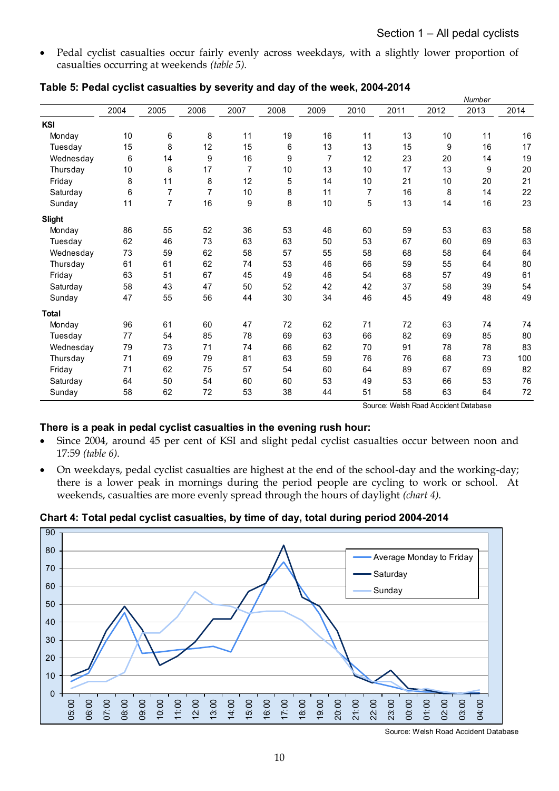Pedal cyclist casualties occur fairly evenly across weekdays, with a slightly lower proportion of casualties occurring at weekends *(table 5)*.

| <b>KSI</b><br>Monday<br>Tuesday<br>Wednesday<br>Thursday<br>Friday<br>Saturday | 2004<br>10<br>15<br>6<br>10 | 2005<br>6<br>8 | 2006<br>8      | 2007<br>11     | 2008 | 2009 | 2010           | 2011 | 2012 | 2013 | 2014 |
|--------------------------------------------------------------------------------|-----------------------------|----------------|----------------|----------------|------|------|----------------|------|------|------|------|
|                                                                                |                             |                |                |                |      |      |                |      |      |      |      |
|                                                                                |                             |                |                |                |      |      |                |      |      |      |      |
|                                                                                |                             |                |                |                | 19   | 16   | 11             | 13   | 10   | 11   | 16   |
|                                                                                |                             |                | 12             | 15             | 6    | 13   | 13             | 15   | 9    | 16   | 17   |
|                                                                                |                             | 14             | 9              | 16             | 9    | 7    | 12             | 23   | 20   | 14   | 19   |
|                                                                                |                             | 8              | 17             | $\overline{7}$ | 10   | 13   | 10             | 17   | 13   | 9    | 20   |
|                                                                                | 8                           | 11             | 8              | 12             | 5    | 14   | 10             | 21   | 10   | 20   | 21   |
|                                                                                | 6                           | $\overline{7}$ | $\overline{7}$ | 10             | 8    | 11   | $\overline{7}$ | 16   | 8    | 14   | 22   |
| Sunday                                                                         | 11                          | 7              | 16             | 9              | 8    | 10   | 5              | 13   | 14   | 16   | 23   |
| <b>Slight</b>                                                                  |                             |                |                |                |      |      |                |      |      |      |      |
| Monday                                                                         | 86                          | 55             | 52             | 36             | 53   | 46   | 60             | 59   | 53   | 63   | 58   |
| Tuesday                                                                        | 62                          | 46             | 73             | 63             | 63   | 50   | 53             | 67   | 60   | 69   | 63   |
| Wednesday                                                                      | 73                          | 59             | 62             | 58             | 57   | 55   | 58             | 68   | 58   | 64   | 64   |
| Thursday                                                                       | 61                          | 61             | 62             | 74             | 53   | 46   | 66             | 59   | 55   | 64   | 80   |
| Friday                                                                         | 63                          | 51             | 67             | 45             | 49   | 46   | 54             | 68   | 57   | 49   | 61   |
| Saturday                                                                       | 58                          | 43             | 47             | 50             | 52   | 42   | 42             | 37   | 58   | 39   | 54   |
| Sunday                                                                         | 47                          | 55             | 56             | 44             | 30   | 34   | 46             | 45   | 49   | 48   | 49   |
| <b>Total</b>                                                                   |                             |                |                |                |      |      |                |      |      |      |      |
| Monday                                                                         | 96                          | 61             | 60             | 47             | 72   | 62   | 71             | 72   | 63   | 74   | 74   |
| Tuesday                                                                        | 77                          | 54             | 85             | 78             | 69   | 63   | 66             | 82   | 69   | 85   | 80   |
| Wednesday                                                                      | 79                          | 73             | 71             | 74             | 66   | 62   | 70             | 91   | 78   | 78   | 83   |
| Thursday                                                                       | 71                          | 69             | 79             | 81             | 63   | 59   | 76             | 76   | 68   | 73   | 100  |
| Friday                                                                         | 71                          | 62             | 75             | 57             | 54   | 60   | 64             | 89   | 67   | 69   | 82   |
| Saturday                                                                       | 64                          | 50             | 54             | 60             | 60   | 53   | 49             | 53   | 66   | 53   | 76   |
| Sunday                                                                         | 58                          | 62             | 72             | 53             | 38   | 44   | 51             | 58   | 63   | 64   | 72   |

#### **Table 5: Pedal cyclist casualties by severity and day of the week, 2004-2014**

Source: Welsh Road Accident Database

# **There is a peak in pedal cyclist casualties in the evening rush hour:**

- Since 2004, around 45 per cent of KSI and slight pedal cyclist casualties occur between noon and 17:59 *(table 6)*.
- On weekdays, pedal cyclist casualties are highest at the end of the school-day and the working-day; there is a lower peak in mornings during the period people are cycling to work or school. At weekends, casualties are more evenly spread through the hours of daylight *(chart 4)*.

**Chart 4: Total pedal cyclist casualties, by time of day, total during period 2004-2014**



Source: Welsh Road Accident Database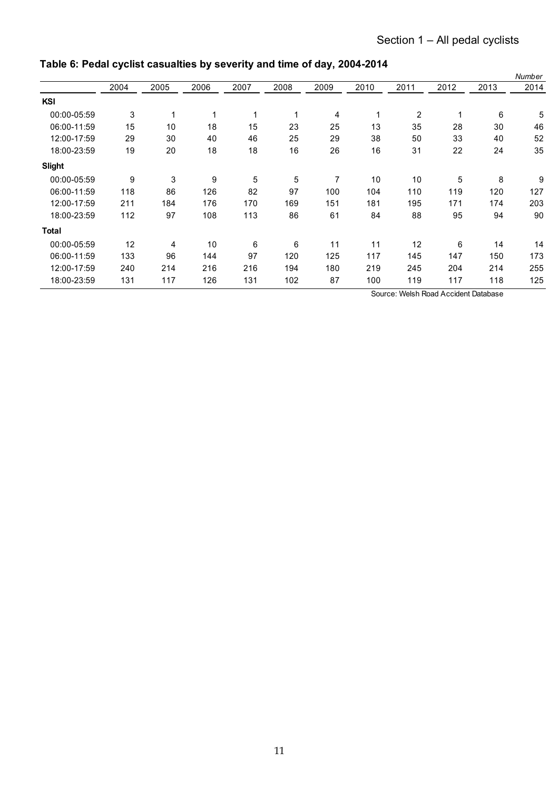|              |      |      |      |      |      |      |      |                |                                      |      | Number |
|--------------|------|------|------|------|------|------|------|----------------|--------------------------------------|------|--------|
|              | 2004 | 2005 | 2006 | 2007 | 2008 | 2009 | 2010 | 2011           | 2012                                 | 2013 | 2014   |
| KSI          |      |      |      |      |      |      |      |                |                                      |      |        |
| 00:00-05:59  | 3    | 1    | 1    |      |      | 4    |      | $\overline{2}$ | 1                                    | 6    | 5      |
| 06:00-11:59  | 15   | 10   | 18   | 15   | 23   | 25   | 13   | 35             | 28                                   | 30   | 46     |
| 12:00-17:59  | 29   | 30   | 40   | 46   | 25   | 29   | 38   | 50             | 33                                   | 40   | 52     |
| 18:00-23:59  | 19   | 20   | 18   | 18   | 16   | 26   | 16   | 31             | 22                                   | 24   | 35     |
| Slight       |      |      |      |      |      |      |      |                |                                      |      |        |
| 00:00-05:59  | 9    | 3    | 9    | 5    | 5    | 7    | 10   | 10             | 5                                    | 8    | 9      |
| 06:00-11:59  | 118  | 86   | 126  | 82   | 97   | 100  | 104  | 110            | 119                                  | 120  | 127    |
| 12:00-17:59  | 211  | 184  | 176  | 170  | 169  | 151  | 181  | 195            | 171                                  | 174  | 203    |
| 18:00-23:59  | 112  | 97   | 108  | 113  | 86   | 61   | 84   | 88             | 95                                   | 94   | 90     |
| <b>Total</b> |      |      |      |      |      |      |      |                |                                      |      |        |
| 00:00-05:59  | 12   | 4    | 10   | 6    | 6    | 11   | 11   | 12             | 6                                    | 14   | 14     |
| 06:00-11:59  | 133  | 96   | 144  | 97   | 120  | 125  | 117  | 145            | 147                                  | 150  | 173    |
| 12:00-17:59  | 240  | 214  | 216  | 216  | 194  | 180  | 219  | 245            | 204                                  | 214  | 255    |
| 18:00-23:59  | 131  | 117  | 126  | 131  | 102  | 87   | 100  | 119            | 117                                  | 118  | 125    |
|              |      |      |      |      |      |      |      |                | Source: Welsh Road Accident Database |      |        |

# **Table 6: Pedal cyclist casualties by severity and time of day, 2004-2014**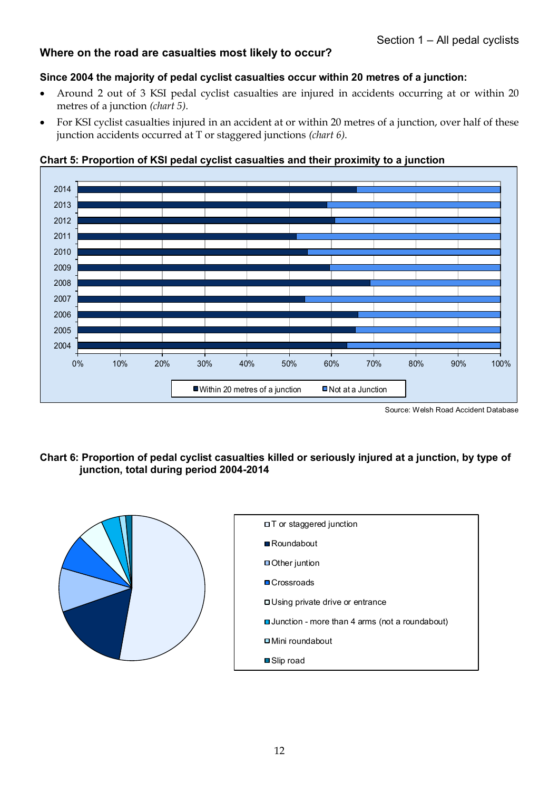# **Where on the road are casualties most likely to occur?**

# **Since 2004 the majority of pedal cyclist casualties occur within 20 metres of a junction:**

- Around 2 out of 3 KSI pedal cyclist casualties are injured in accidents occurring at or within 20 metres of a junction *(chart 5)*.
- For KSI cyclist casualties injured in an accident at or within 20 metres of a junction, over half of these junction accidents occurred at T or staggered junctions *(chart 6)*.



#### **Chart 5: Proportion of KSI pedal cyclist casualties and their proximity to a junction**

Source: Welsh Road Accident Database

# **Chart 6: Proportion of pedal cyclist casualties killed or seriously injured at a junction, by type of junction, total during period 2004-2014**

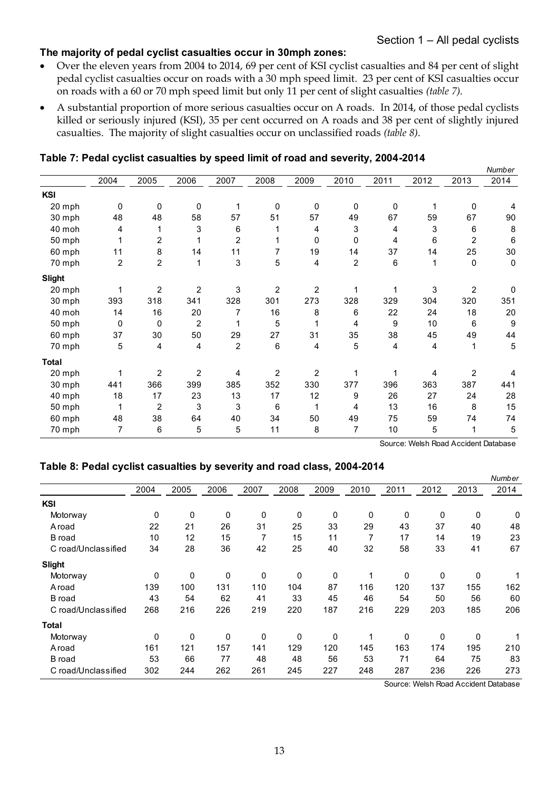# **The majority of pedal cyclist casualties occur in 30mph zones:**

- Over the eleven years from 2004 to 2014, 69 per cent of KSI cyclist casualties and 84 per cent of slight pedal cyclist casualties occur on roads with a 30 mph speed limit. 23 per cent of KSI casualties occur on roads with a 60 or 70 mph speed limit but only 11 per cent of slight casualties *(table 7)*.
- A substantial proportion of more serious casualties occur on A roads. In 2014, of those pedal cyclists killed or seriously injured (KSI), 35 per cent occurred on A roads and 38 per cent of slightly injured casualties. The majority of slight casualties occur on unclassified roads *(table 8)*.

*Number* 2004 2005 2006 2007 2008 2009 2010 2011 2012 2013 2014 **KSI** 20 mph 0 0 0 1 0 0 0 0 1 0 4 2004 2005 2006 2007 2008 2009 2010 2011 2012 2013 2014<br>30 mph 1 9 0 0 0 1 0 0 0 0 1 0 1<br>30 mph 1 48 1 48 58 57 51 57 49 67 59 67 90<br>40 moh 1 4 1 3 6 1 4 3 4 3 6 8 40 moh 4 1 3 6 1 4 3 4 3 6 8 50 mph 1 2 1 2 1 0 0 4 6 2 6 80 mph<br>
48 48 58 57 51 57 49 67 59 67 90<br>
40 moh 4 1 3 6 1 4 3 4 3 6 8<br>
50 mph 1 2 1 2 1 0 0 4 6 2 6<br>
60 mph 11 8 14 11 7 19 14 37 14 25 30<br>
70 mph 2 2 1 3 5 4 2 6 1 0 0 70 mph 2 2 1 3 5 4 2 6 1 0 0 **Slight** 20 mph 1 2 2 3 2 2 1 1 3 2 0 30 mph 393 318 341 328 301 273 328 329 304 320 351 40 moh 1 4 1 6 2 0 <sup>7</sup> 1 6 <sup>8</sup> <sup>6</sup> 2 2 2 4 1 8 2 0 50 mph <sup>0</sup> <sup>0</sup> <sup>2</sup> <sup>1</sup> <sup>5</sup> <sup>1</sup> <sup>4</sup> <sup>9</sup> 1 0 <sup>6</sup> <sup>9</sup> 20 mph<br>30 mph 393 318 341 328 301 273 328 329 304 320 351<br>40 moh 14 16 20 7 16 8 6 22 24 18 20<br>50 mph 37 30 50 29 27 31 35 38 45 49 44<br>70 mph 5 4 4 2 6 4 5 4 4 1 5 70 mph 5 4 4 2 6 4 5 4 4 1 5 **Total** 20 mph 1 2 2 4 2 2 1 1 4 2 4 30 mph 441 366 399 385 352 330 377 396 363 387 441 1 |<br>20 mph | 1 | 2 | 2 | 2 | 2 | 2 | 1 | 1 | 4 | 2 | 4<br>30 mph | 14 | 366 | 399 | 385 | 352 | 330 | 377 | 396 | 363 | 387 | 441<br>40 mph | 1 | 1 | 2 | 3 | 3 | 3 | 6 | 1 | 1 | 4 | 13 | 16 | 8 | 15<br>50 mph | 1 | 1 | 2 | 3 | 3 | 1 1 2 2 4 2 2 1 1 4 2 4<br>30 mph 1 441 366 399 385 352 330 377 396 363 387 441<br>40 mph 18 17 23 13 17 12 9 26 27 24 28<br>50 mph 1 2 3 3 3 6 1 4 13 16 8 15<br>60 mph 48 38 64 40 34 50 49 75 59 74 74 60 mph 4 8 3 8 6 4 4 0 3 4 5 0 4 9 7 5 5 9 7 4 7 4 30 mph 441 300 399 365 332 330 377 390 363 387 441<br>40 mph 18 17 23 13 17 12 9 26 27 24 28<br>50 mph 1 2 3 3 3 3 6 1 4 13 16

#### **Table 7: Pedal cyclist casualties by speed limit of road and severity, 2004-2014**

Source: Welsh Road Accident Database

#### **Table 8: Pedal cyclist casualties by severity and road class, 2004-2014**

|                     |      |      |      |      |      |      |      |      |      |      | Number |
|---------------------|------|------|------|------|------|------|------|------|------|------|--------|
|                     | 2004 | 2005 | 2006 | 2007 | 2008 | 2009 | 2010 | 2011 | 2012 | 2013 | 2014   |
| <b>KSI</b>          |      |      |      |      |      |      |      |      |      |      |        |
| Motorway            | 0    | 0    | 0    | 0    | 0    | 0    | 0    | 0    | 0    | 0    | 0      |
| A road              | 22   | 21   | 26   | 31   | 25   | 33   | 29   | 43   | 37   | 40   | 48     |
| <b>B</b> road       | 10   | 12   | 15   | 7    | 15   | 11   | 7    | 17   | 14   | 19   | 23     |
| C road/Unclassified | 34   | 28   | 36   | 42   | 25   | 40   | 32   | 58   | 33   | 41   | 67     |
| <b>Slight</b>       |      |      |      |      |      |      |      |      |      |      |        |
| Motorway            | 0    | 0    | 0    | 0    | 0    | 0    | 1    | 0    | 0    | 0    |        |
| A road              | 139  | 100  | 131  | 110  | 104  | 87   | 116  | 120  | 137  | 155  | 162    |
| B road              | 43   | 54   | 62   | 41   | 33   | 45   | 46   | 54   | 50   | 56   | 60     |
| C road/Unclassified | 268  | 216  | 226  | 219  | 220  | 187  | 216  | 229  | 203  | 185  | 206    |
| <b>Total</b>        |      |      |      |      |      |      |      |      |      |      |        |
| Motorway            | 0    | 0    | 0    | 0    | 0    | 0    | 1    | 0    | 0    | 0    |        |
| A road              | 161  | 121  | 157  | 141  | 129  | 120  | 145  | 163  | 174  | 195  | 210    |
| <b>B</b> road       | 53   | 66   | 77   | 48   | 48   | 56   | 53   | 71   | 64   | 75   | 83     |
| C road/Unclassified | 302  | 244  | 262  | 261  | 245  | 227  | 248  | 287  | 236  | 226  | 273    |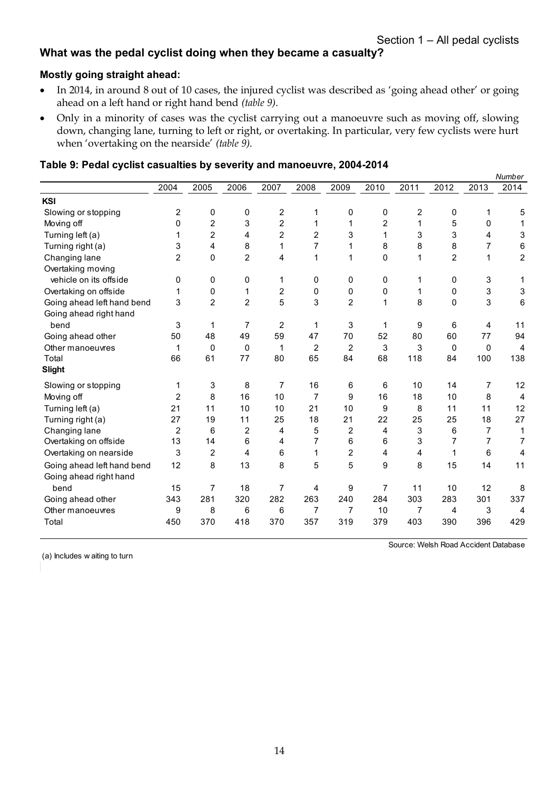# **What was the pedal cyclist doing when they became a casualty?**

#### **Mostly going straight ahead:**

- In 2014, in around 8 out of 10 cases, the injured cyclist was described as 'going ahead other' or going ahead on a left hand or right hand bend *(table 9)*.
- Only in a minority of cases was the cyclist carrying out a manoeuvre such as moving off, slowing down, changing lane, turning to left or right, or overtaking. In particular, very few cyclists were hurt when 'overtaking on the nearside' *(table 9)*.

|                            |                |                |                |                |                |                |      |      |                |             | Number                  |
|----------------------------|----------------|----------------|----------------|----------------|----------------|----------------|------|------|----------------|-------------|-------------------------|
|                            | 2004           | 2005           | 2006           | 2007           | 2008           | 2009           | 2010 | 2011 | 2012           | 2013        | 2014                    |
| <b>KSI</b>                 |                |                |                |                |                |                |      |      |                |             |                         |
| Slowing or stopping        | 2              | 0              | 0              | 2              | 1              | 0              | 0    | 2    | 0              | 1           | 5                       |
| Moving off                 | 0              | $\overline{2}$ | 3              | $\overline{2}$ | 1              | 1              | 2    | 1    | 5              | 0           |                         |
| Turning left (a)           | 1              | $\overline{2}$ | 4              | $\overline{2}$ | $\overline{2}$ | 3              | 1    | 3    | 3              | 4           | 3                       |
| Turning right (a)          | 3              | 4              | 8              | 1              | 7              | 1              | 8    | 8    | 8              | 7           | 6                       |
| Changing lane              | $\overline{2}$ | 0              | $\overline{2}$ | 4              | 1              | 1              | 0    | 1    | $\overline{2}$ | $\mathbf 1$ | $\overline{\mathbf{c}}$ |
| Overtaking moving          |                |                |                |                |                |                |      |      |                |             |                         |
| vehicle on its offside     | 0              | 0              | 0              | 1              | 0              | 0              | 0    | 1    | 0              | 3           |                         |
| Overtaking on offside      | 1              | 0              | 1              | $\overline{c}$ | 0              | 0              | 0    | 1    | $\mathbf 0$    | 3           | 3                       |
| Going ahead left hand bend | 3              | $\overline{2}$ | $\overline{2}$ | 5              | 3              | $\overline{2}$ | 1    | 8    | $\mathbf{0}$   | 3           | 6                       |
| Going ahead right hand     |                |                |                |                |                |                |      |      |                |             |                         |
| bend                       | 3              | 1              | 7              | 2              | 1              | 3              | 1    | 9    | 6              | 4           | 11                      |
| Going ahead other          | 50             | 48             | 49             | 59             | 47             | 70             | 52   | 80   | 60             | 77          | 94                      |
| Other manoeuvres           | 1              | $\Omega$       | $\Omega$       | 1              | $\overline{2}$ | $\overline{2}$ | 3    | 3    | $\Omega$       | 0           | 4                       |
| Total                      | 66             | 61             | 77             | 80             | 65             | 84             | 68   | 118  | 84             | 100         | 138                     |
| <b>Slight</b>              |                |                |                |                |                |                |      |      |                |             |                         |
| Slowing or stopping        | 1              | 3              | 8              | 7              | 16             | 6              | 6    | 10   | 14             | 7           | 12                      |
| Moving off                 | $\overline{2}$ | 8              | 16             | 10             | 7              | 9              | 16   | 18   | 10             | 8           | 4                       |
| Turning left (a)           | 21             | 11             | 10             | 10             | 21             | 10             | 9    | 8    | 11             | 11          | 12                      |
| Turning right (a)          | 27             | 19             | 11             | 25             | 18             | 21             | 22   | 25   | 25             | 18          | 27                      |
| Changing lane              | $\overline{2}$ | 6              | $\overline{2}$ | 4              | 5              | 2              | 4    | 3    | 6              | 7           | 1                       |
| Overtaking on offside      | 13             | 14             | 6              | 4              | 7              | 6              | 6    | 3    | 7              | 7           | $\overline{7}$          |
| Overtaking on nearside     | 3              | $\overline{2}$ | 4              | 6              | 1              | 2              | 4    | 4    | 1              | 6           | 4                       |
| Going ahead left hand bend | 12             | 8              | 13             | 8              | 5              | 5              | 9    | 8    | 15             | 14          | 11                      |
| Going ahead right hand     |                |                |                |                |                |                |      |      |                |             |                         |
| bend                       | 15             | 7              | 18             | 7              | 4              | 9              | 7    | 11   | 10             | 12          | 8                       |
| Going ahead other          | 343            | 281            | 320            | 282            | 263            | 240            | 284  | 303  | 283            | 301         | 337                     |
| Other manoeuvres           | 9              | 8              | 6              | 6              | 7              | 7              | 10   | 7    | 4              | 3           | $\overline{4}$          |
| Total                      | 450            | 370            | 418            | 370            | 357            | 319            | 379  | 403  | 390            | 396         | 429                     |

#### **Table 9: Pedal cyclist casualties by severity and manoeuvre, 2004-2014**

(a) Includes w aiting to turn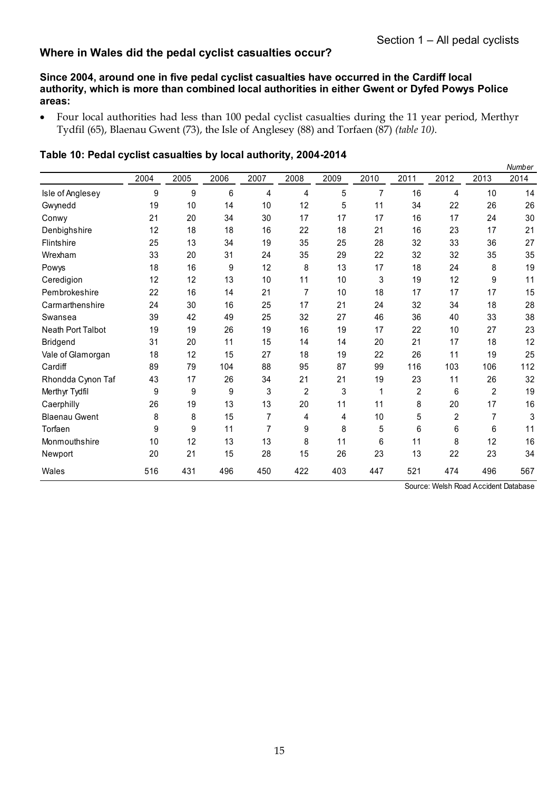# **Where in Wales did the pedal cyclist casualties occur?**

#### **Since 2004, around one in five pedal cyclist casualties have occurred in the Cardiff local authority, which is more than combined local authorities in either Gwent or Dyfed Powys Police areas:**

 Four local authorities had less than 100 pedal cyclist casualties during the 11 year period, Merthyr Tydfil (65), Blaenau Gwent (73), the Isle of Anglesey (88) and Torfaen (87) *(table 10)*.

|                          |      |      |      |                |      |      |      |      |      |      | Number |
|--------------------------|------|------|------|----------------|------|------|------|------|------|------|--------|
|                          | 2004 | 2005 | 2006 | 2007           | 2008 | 2009 | 2010 | 2011 | 2012 | 2013 | 2014   |
| Isle of Anglesey         | 9    | 9    | 6    | 4              | 4    | 5    | 7    | 16   | 4    | 10   | 14     |
| Gwynedd                  | 19   | 10   | 14   | 10             | 12   | 5    | 11   | 34   | 22   | 26   | 26     |
| Conwy                    | 21   | 20   | 34   | 30             | 17   | 17   | 17   | 16   | 17   | 24   | 30     |
| Denbighshire             | 12   | 18   | 18   | 16             | 22   | 18   | 21   | 16   | 23   | 17   | 21     |
| <b>Flintshire</b>        | 25   | 13   | 34   | 19             | 35   | 25   | 28   | 32   | 33   | 36   | 27     |
| Wrexham                  | 33   | 20   | 31   | 24             | 35   | 29   | 22   | 32   | 32   | 35   | 35     |
| Powys                    | 18   | 16   | 9    | 12             | 8    | 13   | 17   | 18   | 24   | 8    | 19     |
| Ceredigion               | 12   | 12   | 13   | 10             | 11   | 10   | 3    | 19   | 12   | 9    | 11     |
| Pembrokeshire            | 22   | 16   | 14   | 21             | 7    | 10   | 18   | 17   | 17   | 17   | 15     |
| Carmarthenshire          | 24   | 30   | 16   | 25             | 17   | 21   | 24   | 32   | 34   | 18   | 28     |
| Swansea                  | 39   | 42   | 49   | 25             | 32   | 27   | 46   | 36   | 40   | 33   | 38     |
| <b>Neath Port Talbot</b> | 19   | 19   | 26   | 19             | 16   | 19   | 17   | 22   | 10   | 27   | 23     |
| <b>Bridgend</b>          | 31   | 20   | 11   | 15             | 14   | 14   | 20   | 21   | 17   | 18   | 12     |
| Vale of Glamorgan        | 18   | 12   | 15   | 27             | 18   | 19   | 22   | 26   | 11   | 19   | 25     |
| Cardiff                  | 89   | 79   | 104  | 88             | 95   | 87   | 99   | 116  | 103  | 106  | 112    |
| Rhondda Cynon Taf        | 43   | 17   | 26   | 34             | 21   | 21   | 19   | 23   | 11   | 26   | 32     |
| Merthyr Tydfil           | 9    | 9    | 9    | 3              | 2    | 3    | 1    | 2    | 6    | 2    | 19     |
| Caerphilly               | 26   | 19   | 13   | 13             | 20   | 11   | 11   | 8    | 20   | 17   | 16     |
| <b>Blaenau Gwent</b>     | 8    | 8    | 15   | $\overline{7}$ | 4    | 4    | 10   | 5    | 2    | 7    | 3      |
| Torfaen                  | 9    | 9    | 11   | $\overline{7}$ | 9    | 8    | 5    | 6    | 6    | 6    | 11     |
| Monmouthshire            | 10   | 12   | 13   | 13             | 8    | 11   | 6    | 11   | 8    | 12   | 16     |
| Newport                  | 20   | 21   | 15   | 28             | 15   | 26   | 23   | 13   | 22   | 23   | 34     |
| Wales                    | 516  | 431  | 496  | 450            | 422  | 403  | 447  | 521  | 474  | 496  | 567    |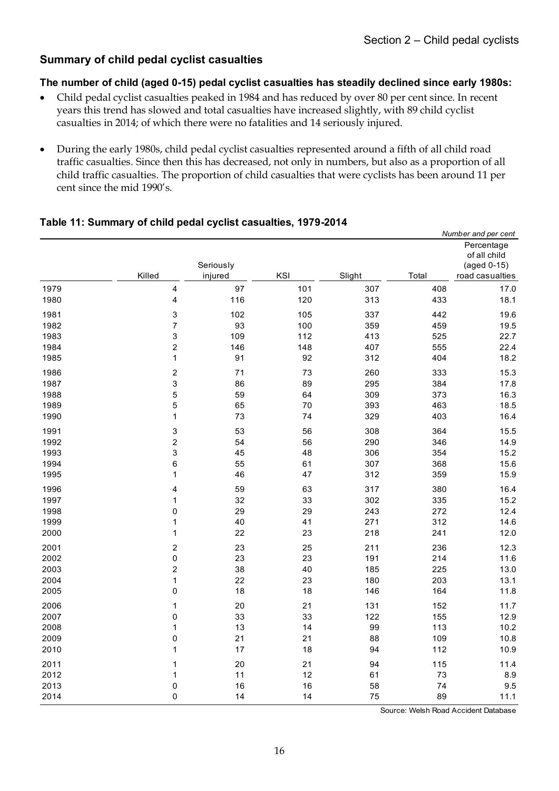# **Summary of child pedal cyclist casualties**

#### **The number of child (aged 0-15) pedal cyclist casualties has steadily declined since early 1980s:**

- Child pedal cyclist casualties peaked in 1984 and has reduced by over 80 per cent since. In recent years this trend has slowed and total casualties have increased slightly, with 89 child cyclist casualties in 2014; of which there were no fatalities and 14 seriously injured.
- During the early 1980s, child pedal cyclist casualties represented around a fifth of all child road traffic casualties. Since then this has decreased, not only in numbers, but also as a proportion of all child traffic casualties. The proportion of child casualties that were cyclists has been around 11 per cent since the mid 1990's.

#### **Table 11: Summary of child pedal cyclist casualties, 1979-2014**

|      |                         |           |     |        |       | Number and per cent                  |
|------|-------------------------|-----------|-----|--------|-------|--------------------------------------|
|      |                         |           |     |        |       | Percentage                           |
|      |                         |           |     |        |       | of all child                         |
|      |                         | Seriously |     |        |       | (aged 0-15)                          |
|      | Killed                  | injured   | KSI | Slight | Total | road casualties                      |
| 1979 | $\overline{\mathbf{4}}$ | 97        | 101 | 307    | 408   | 17.0                                 |
| 1980 | $\overline{\mathbf{4}}$ | 116       | 120 | 313    | 433   | 18.1                                 |
| 1981 | 3                       | 102       | 105 | 337    | 442   | 19.6                                 |
| 1982 | $\overline{7}$          | 93        | 100 | 359    | 459   | 19.5                                 |
| 1983 | 3                       | 109       | 112 | 413    | 525   | 22.7                                 |
| 1984 | $\boldsymbol{2}$        | 146       | 148 | 407    | 555   | 22.4                                 |
| 1985 | $\mathbf{1}$            | 91        | 92  | 312    | 404   | 18.2                                 |
| 1986 | $\mathbf 2$             | 71        | 73  | 260    | 333   | 15.3                                 |
| 1987 | 3                       | 86        | 89  | 295    | 384   | 17.8                                 |
| 1988 | 5                       | 59        | 64  | 309    | 373   | 16.3                                 |
| 1989 | 5                       | 65        | 70  | 393    | 463   | 18.5                                 |
| 1990 | $\mathbf{1}$            | 73        | 74  | 329    | 403   | 16.4                                 |
| 1991 | 3                       | 53        | 56  | 308    | 364   | 15.5                                 |
| 1992 | $\overline{\mathbf{c}}$ | 54        | 56  | 290    | 346   | 14.9                                 |
| 1993 | 3                       | 45        | 48  | 306    | 354   | 15.2                                 |
| 1994 | 6                       | 55        | 61  | 307    | 368   | 15.6                                 |
| 1995 | 1                       | 46        | 47  | 312    | 359   | 15.9                                 |
| 1996 | 4                       | 59        | 63  | 317    | 380   | 16.4                                 |
| 1997 | 1                       | 32        | 33  | 302    | 335   | 15.2                                 |
| 1998 | $\mathbf 0$             | 29        | 29  | 243    | 272   | 12.4                                 |
| 1999 | 1                       | 40        | 41  | 271    | 312   | 14.6                                 |
| 2000 | 1                       | 22        | 23  | 218    | 241   | 12.0                                 |
| 2001 | $\overline{\mathbf{c}}$ | 23        | 25  | 211    | 236   | 12.3                                 |
| 2002 | $\mathsf 0$             | 23        | 23  | 191    | 214   | 11.6                                 |
| 2003 | $\overline{\mathbf{c}}$ | 38        | 40  | 185    | 225   | 13.0                                 |
| 2004 | $\mathbf{1}$            | 22        | 23  | 180    | 203   | 13.1                                 |
| 2005 | $\mathbf 0$             | 18        | 18  | 146    | 164   | 11.8                                 |
| 2006 | 1                       | 20        | 21  | 131    | 152   | 11.7                                 |
| 2007 | $\mathbf 0$             | 33        | 33  | 122    | 155   | 12.9                                 |
| 2008 | 1                       | 13        | 14  | 99     | 113   | 10.2                                 |
| 2009 | $\mathbf 0$             | 21        | 21  | 88     | 109   | 10.8                                 |
| 2010 | 1                       | 17        | 18  | 94     | 112   | 10.9                                 |
| 2011 | 1                       | 20        | 21  | 94     | 115   | 11.4                                 |
| 2012 | 1                       | 11        | 12  | 61     | 73    | 8.9                                  |
| 2013 | $\mathbf 0$             | 16        | 16  | 58     | 74    | 9.5                                  |
| 2014 | $\mathbf 0$             | 14        | 14  | 75     | 89    | 11.1                                 |
|      |                         |           |     |        |       | Course: Wolch Pood Apoidant Detaboog |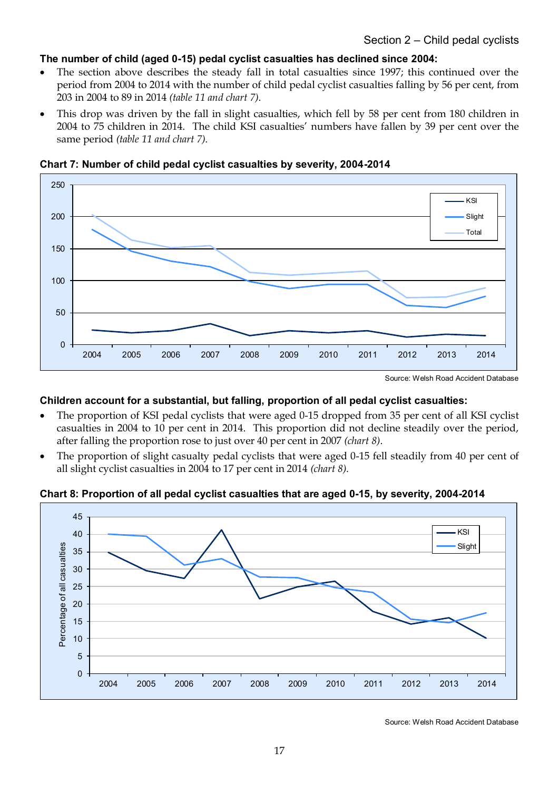# **The number of child (aged 0-15) pedal cyclist casualties has declined since 2004:**

- The section above describes the steady fall in total casualties since 1997; this continued over the period from 2004 to 2014 with the number of child pedal cyclist casualties falling by 56 per cent, from 203 in 2004 to 89 in 2014 *(table 11 and chart 7)*.
- This drop was driven by the fall in slight casualties, which fell by 58 per cent from 180 children in 2004 to 75 children in 2014. The child KSI casualties' numbers have fallen by 39 per cent over the same period *(table 11 and chart 7)*.



#### **Chart 7: Number of child pedal cyclist casualties by severity, 2004-2014**

# **Children account for a substantial, but falling, proportion of all pedal cyclist casualties:**

- The proportion of KSI pedal cyclists that were aged 0-15 dropped from 35 per cent of all KSI cyclist casualties in 2004 to 10 per cent in 2014. This proportion did not decline steadily over the period, after falling the proportion rose to just over 40 per cent in 2007 *(chart 8)*.
- The proportion of slight casualty pedal cyclists that were aged 0-15 fell steadily from 40 per cent of all slight cyclist casualties in 2004 to 17 per cent in 2014 *(chart 8)*.

#### **Chart 8: Proportion of all pedal cyclist casualties that are aged 0-15, by severity, 2004-2014**



Source: Welsh Road Accident Database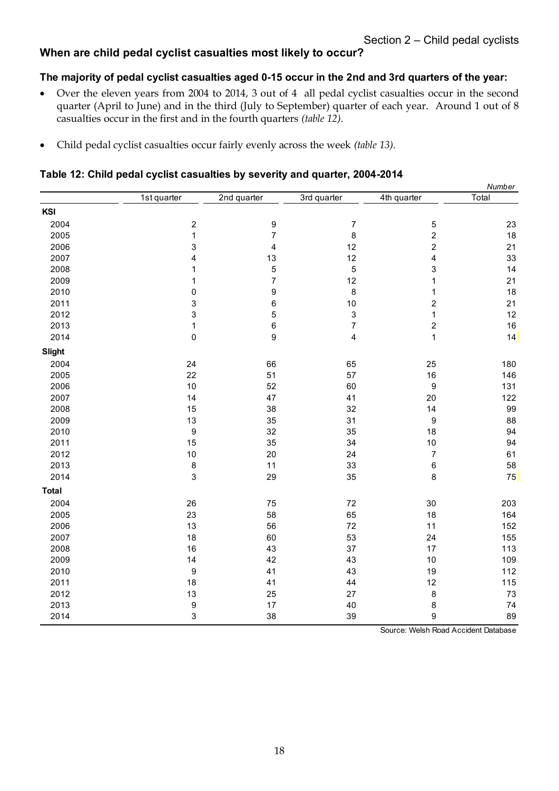# **When are child pedal cyclist casualties most likely to occur?**

# **The majority of pedal cyclist casualties aged 0-15 occur in the 2nd and 3rd quarters of the year:**

- Over the eleven years from 2004 to 2014, 3 out of 4 all pedal cyclist casualties occur in the second quarter (April to June) and in the third (July to September) quarter of each year. Around 1 out of 8 casualties occur in the first and in the fourth quarters *(table 12)*.
- Child pedal cyclist casualties occur fairly evenly across the week *(table 13)*.

#### **Table 12: Child pedal cyclist casualties by severity and quarter, 2004-2014**

|               |                         |                         |                |                                      | Number     |
|---------------|-------------------------|-------------------------|----------------|--------------------------------------|------------|
|               | 1st quarter             | 2nd quarter             | 3rd quarter    | 4th quarter                          | Total      |
| KSI           |                         |                         |                |                                      |            |
| 2004          | $\sqrt{2}$              | 9                       | $\overline{7}$ | $\mathbf 5$                          | 23         |
| 2005          | $\mathbf 1$             | 7                       | $\bf 8$        | $\overline{\mathbf{c}}$              | 18         |
| 2006          | 3                       | $\overline{\mathbf{4}}$ | 12             | $\overline{\mathbf{c}}$              | 21         |
| 2007          | $\overline{\mathbf{4}}$ | 13                      | 12             | 4                                    | 33         |
| 2008          | $\mathbf 1$             | 5                       | 5              | 3                                    | 14         |
| 2009          | 1                       | $\overline{7}$          | 12             | 1                                    | 21         |
| 2010          | $\mathbf 0$             | 9                       | 8              | 1                                    | 18         |
| 2011          | 3                       | 6                       | $10$           | $\overline{\mathbf{c}}$              | 21         |
| 2012          | 3                       | 5                       | 3              | $\mathbf 1$                          | 12         |
| 2013          | $\mathbf{1}$            | 6                       | 7              | $\overline{\mathbf{c}}$              | 16         |
| 2014          | $\mathsf 0$             | 9                       | 4              | $\mathbf 1$                          | 14         |
| <b>Slight</b> |                         |                         |                |                                      |            |
| 2004          | 24                      | 66                      | 65             | 25                                   | 180        |
| 2005          | 22                      | 51                      | 57             | 16                                   | 146        |
| 2006          | 10                      | 52                      | 60             | $\boldsymbol{9}$                     | 131        |
| 2007          | 14                      | 47                      | 41             | 20                                   | 122        |
| 2008          | 15                      | 38                      | 32             | 14                                   | 99         |
| 2009          | 13                      | 35                      | 31             | $\boldsymbol{9}$                     | 88         |
| 2010          | $\boldsymbol{9}$        | 32                      | 35             | 18                                   | 94         |
| 2011          | 15                      | 35                      | 34             | 10                                   | 94         |
| 2012          | 10                      | 20                      | 24             | $\overline{7}$                       | 61         |
| 2013          | $\bf 8$                 | 11                      | 33             | 6                                    | 58         |
| 2014          | $\mathbf{3}$            | 29                      | 35             | 8                                    | ${\bf 75}$ |
| <b>Total</b>  |                         |                         |                |                                      |            |
| 2004          | 26                      | 75                      | 72             | 30                                   | 203        |
| 2005          | 23                      | 58                      | 65             | 18                                   | 164        |
| 2006          | 13                      | 56                      | 72             | 11                                   | 152        |
| 2007          | 18                      | 60                      | 53             | 24                                   | 155        |
| 2008          | 16                      | 43                      | 37             | 17                                   | 113        |
| 2009          | 14                      | 42                      | 43             | 10                                   | 109        |
| 2010          | $\boldsymbol{9}$        | 41                      | 43             | 19                                   | 112        |
| 2011          | 18                      | 41                      | 44             | 12                                   | 115        |
| 2012          | 13                      | 25                      | 27             | 8                                    | 73         |
| 2013          | 9                       | 17                      | 40             | 8                                    | 74         |
| 2014          | 3                       | 38                      | 39             | 9                                    | 89         |
|               |                         |                         |                | Course: Welch Pood Acoident Database |            |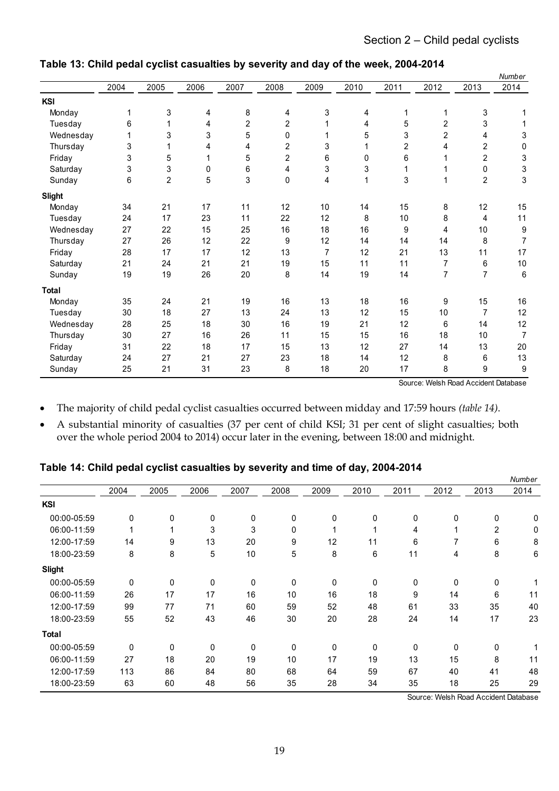| 2004<br><b>KSI</b><br>Monday<br>Tuesday<br>Wednesday<br>Thursday<br>Friday | 1<br>6<br>3<br>3<br>3<br>6 | 2005<br>3<br>3<br>5<br>3 | 2006<br>4<br>4<br>3<br>4<br>1 | 2007<br>8<br>$\overline{2}$<br>5<br>4 | 2008<br>4<br>2<br>0 | 2009<br>3 | 2010<br>4<br>4 | 2011<br>1<br>5 | 2012<br>1<br>2 | 2013<br>3<br>3          | 2014  |
|----------------------------------------------------------------------------|----------------------------|--------------------------|-------------------------------|---------------------------------------|---------------------|-----------|----------------|----------------|----------------|-------------------------|-------|
|                                                                            |                            |                          |                               |                                       |                     |           |                |                |                |                         |       |
|                                                                            |                            |                          |                               |                                       |                     |           |                |                |                |                         |       |
|                                                                            |                            |                          |                               |                                       |                     |           |                |                |                |                         |       |
|                                                                            |                            |                          |                               |                                       |                     |           |                |                |                |                         |       |
|                                                                            |                            |                          |                               |                                       |                     |           | 5              | 3              | 2              | 4                       | 3     |
|                                                                            |                            |                          |                               |                                       | 2                   | 3         |                | 2              | 4              | $\overline{c}$          | 0     |
|                                                                            |                            |                          |                               | 5                                     | 2                   | 6         | 0              | 6              | 1              | 2                       | 3     |
| Saturday                                                                   |                            |                          | 0                             | 6                                     | 4                   | 3         | 3              | 1              |                | 0                       | 3     |
| Sunday                                                                     |                            | $\overline{2}$           | 5                             | 3                                     | 0                   | 4         | 1              | 3              | 1              | $\overline{\mathbf{c}}$ | 3     |
| <b>Slight</b>                                                              |                            |                          |                               |                                       |                     |           |                |                |                |                         |       |
| Monday                                                                     | 34                         | 21                       | 17                            | 11                                    | 12                  | $10$      | 14             | 15             | 8              | 12                      | 15    |
| Tuesday                                                                    | 24                         | 17                       | 23                            | 11                                    | 22                  | 12        | 8              | 10             | 8              | 4                       | 11    |
| Wednesday                                                                  | 27                         | 22                       | 15                            | 25                                    | 16                  | 18        | 16             | 9              | 4              | 10                      | 9     |
| Thursday                                                                   | 27                         | 26                       | 12                            | 22                                    | 9                   | 12        | 14             | 14             | 14             | 8                       | 7     |
| Friday                                                                     | 28                         | 17                       | 17                            | 12                                    | 13                  | 7         | 12             | 21             | 13             | 11                      | 17    |
| Saturday                                                                   | 21                         | 24                       | 21                            | 21                                    | 19                  | 15        | 11             | 11             | 7              | 6                       | 10    |
| Sunday                                                                     | 19                         | 19                       | 26                            | 20                                    | 8                   | 14        | 19             | 14             | 7              | 7                       | $\,6$ |
| <b>Total</b>                                                               |                            |                          |                               |                                       |                     |           |                |                |                |                         |       |
| Monday                                                                     | 35                         | 24                       | 21                            | 19                                    | 16                  | 13        | 18             | 16             | 9              | 15                      | 16    |
| Tuesday                                                                    | 30                         | 18                       | 27                            | 13                                    | 24                  | 13        | 12             | 15             | $10$           | $\overline{7}$          | 12    |
| Wednesday                                                                  | 28                         | 25                       | 18                            | 30                                    | 16                  | 19        | 21             | 12             | 6              | 14                      | 12    |
| Thursday                                                                   | 30                         | 27                       | 16                            | 26                                    | 11                  | 15        | 15             | 16             | 18             | 10                      | 7     |
| Friday                                                                     | 31                         | 22                       | 18                            | 17                                    | 15                  | 13        | 12             | 27             | 14             | 13                      | 20    |
| Saturday                                                                   | 24                         | 27                       | 21                            | 27                                    | 23                  | 18        | 14             | 12             | 8              | 6                       | 13    |
| Sunday                                                                     | 25                         | 21                       | 31                            | 23                                    | 8                   | 18        | 20             | 17             | 8              | 9                       | 9     |

## **Table 13: Child pedal cyclist casualties by severity and day of the week, 2004-2014**

Source: Welsh Road Accident Database

- The majority of child pedal cyclist casualties occurred between midday and 17:59 hours *(table 14)*.
- A substantial minority of casualties (37 per cent of child KSI; 31 per cent of slight casualties; both over the whole period 2004 to 2014) occur later in the evening, between 18:00 and midnight.

# **Table 14: Child pedal cyclist casualties by severity and time of day, 2004-2014**

|               |      |              |      |      |      |             | . .  |      |                                      |                | Number |
|---------------|------|--------------|------|------|------|-------------|------|------|--------------------------------------|----------------|--------|
|               | 2004 | 2005         | 2006 | 2007 | 2008 | 2009        | 2010 | 2011 | 2012                                 | 2013           | 2014   |
| <b>KSI</b>    |      |              |      |      |      |             |      |      |                                      |                |        |
| 00:00-05:59   | 0    | $\mathbf{0}$ | 0    | 0    | 0    | 0           | 0    | 0    | 0                                    | 0              | 0      |
| 06:00-11:59   |      |              | 3    | 3    | 0    |             | 4    | 4    | 1                                    | $\overline{2}$ | 0      |
| 12:00-17:59   | 14   | 9            | 13   | 20   | 9    | 12          | 11   | 6    | 7                                    | 6              | 8      |
| 18:00-23:59   | 8    | 8            | 5    | 10   | 5    | 8           | 6    | 11   | 4                                    | 8              | 6      |
| <b>Slight</b> |      |              |      |      |      |             |      |      |                                      |                |        |
| 00:00-05:59   | 0    | 0            | 0    | 0    | 0    | $\mathbf 0$ | 0    | 0    | 0                                    | 0              |        |
| 06:00-11:59   | 26   | 17           | 17   | 16   | 10   | 16          | 18   | 9    | 14                                   | 6              | 11     |
| 12:00-17:59   | 99   | 77           | 71   | 60   | 59   | 52          | 48   | 61   | 33                                   | 35             | 40     |
| 18:00-23:59   | 55   | 52           | 43   | 46   | 30   | 20          | 28   | 24   | 14                                   | 17             | 23     |
| <b>Total</b>  |      |              |      |      |      |             |      |      |                                      |                |        |
| 00:00-05:59   | 0    | $\mathbf{0}$ | 0    | 0    | 0    | 0           | 0    | 0    | 0                                    | $\mathbf 0$    |        |
| 06:00-11:59   | 27   | 18           | 20   | 19   | 10   | 17          | 19   | 13   | 15                                   | 8              | 11     |
| 12:00-17:59   | 113  | 86           | 84   | 80   | 68   | 64          | 59   | 67   | 40                                   | 41             | 48     |
| 18:00-23:59   | 63   | 60           | 48   | 56   | 35   | 28          | 34   | 35   | 18                                   | 25             | 29     |
|               |      |              |      |      |      |             |      |      | Source: Welsh Road Accident Database |                |        |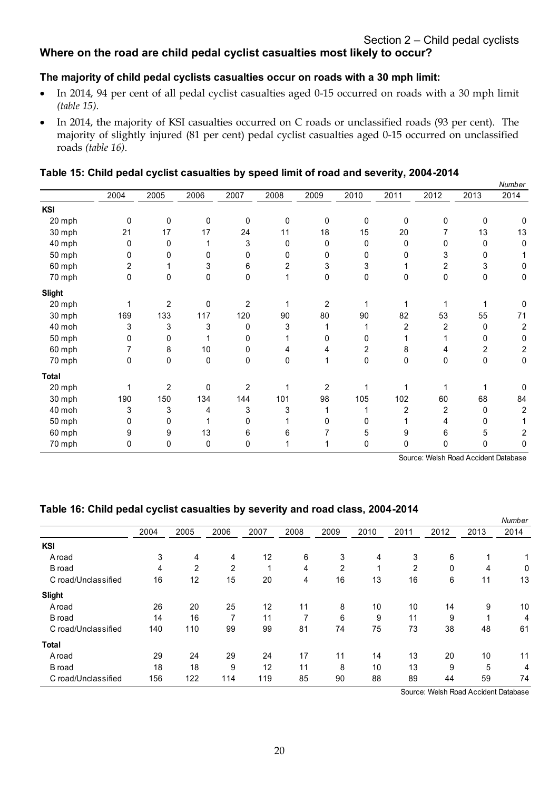# **Where on the road are child pedal cyclist casualties most likely to occur?**

# **The majority of child pedal cyclists casualties occur on roads with a 30 mph limit:**

- In 2014, 94 per cent of all pedal cyclist casualties aged 0-15 occurred on roads with a 30 mph limit *(table 15)*.
- In 2014, the majority of KSI casualties occurred on C roads or unclassified roads (93 per cent). The majority of slightly injured (81 per cent) pedal cyclist casualties aged 0-15 occurred on unclassified roads *(table 16)*.

#### **Table 15: Child pedal cyclist casualties by speed limit of road and severity, 2004-2014**

|               |      |                |      |                |             |                |             |              |      |      | Number |
|---------------|------|----------------|------|----------------|-------------|----------------|-------------|--------------|------|------|--------|
|               | 2004 | 2005           | 2006 | 2007           | 2008        | 2009           | 2010        | 2011         | 2012 | 2013 | 2014   |
| <b>KSI</b>    |      |                |      |                |             |                |             |              |      |      |        |
| 20 mph        | 0    | 0              | 0    | 0              | $\mathbf 0$ | 0              | 0           | 0            | 0    | 0    | 0      |
| 30 mph        | 21   | 17             | 17   | 24             | 11          | 18             | 15          | 20           |      | 13   | 13     |
| 40 mph        | 0    | 0              |      | 3              | 0           | 0              | $\mathbf 0$ | 0            |      | 0    | 0      |
| 50 mph        | 0    | 0              | 0    | 0              | 0           | 0              | 0           |              |      | 0    |        |
| 60 mph        | 2    |                | 3    | 6              | 2           | 3              | 3           |              | 2    | 3    | 0      |
| 70 mph        | 0    | 0              | 0    | 0              |             | 0              | 0           | $\mathbf{0}$ | 0    | 0    | 0      |
| <b>Slight</b> |      |                |      |                |             |                |             |              |      |      |        |
| 20 mph        |      | $\overline{2}$ | 0    | $\overline{2}$ |             | $\overline{2}$ |             |              |      |      |        |
| 30 mph        | 169  | 133            | 117  | 120            | 90          | 80             | 90          | 82           | 53   | 55   | 71     |
| 40 moh        | 3    | 3              | 3    | 0              | 3           |                |             | 2            | 2    | 0    | 2      |
| 50 mph        | 0    | 0              |      | 0              |             | 0              | 0           |              |      | 0    | 0      |
| 60 mph        |      | 8              | 10   | 0              |             |                | 2           | 8            |      | 2    | 2      |
| 70 mph        | 0    | 0              | 0    | 0              | 0           | 1              | 0           | 0            | 0    | 0    | 0      |
| <b>Total</b>  |      |                |      |                |             |                |             |              |      |      |        |
| 20 mph        | 1    | $\overline{2}$ | 0    | $\overline{2}$ |             | $\overline{2}$ |             |              |      |      |        |
| 30 mph        | 190  | 150            | 134  | 144            | 101         | 98             | 105         | 102          | 60   | 68   | 84     |
| 40 moh        | 3    | 3              | 4    | 3              | 3           |                |             | 2            | 2    | 0    | 2      |
| 50 mph        | 0    | 0              |      | 0              |             | 0              |             |              | 4    | 0    |        |
| 60 mph        | 9    | 9              | 13   | 6              | 6           |                |             | 9            | 6    | 5    |        |
| 70 mph        | 0    | 0              | 0    | 0              |             |                | 0           | 0            |      | 0    | 0      |

Source: Welsh Road Accident Database

#### **Table 16: Child pedal cyclist casualties by severity and road class, 2004-2014**

|      |      |                |      |      |      |      |      |      |      | Number |
|------|------|----------------|------|------|------|------|------|------|------|--------|
| 2004 | 2005 | 2006           | 2007 | 2008 | 2009 | 2010 | 2011 | 2012 | 2013 | 2014   |
|      |      |                |      |      |      |      |      |      |      |        |
| 3    | 4    | 4              | 12   | 6    | 3    | 4    | 3    | 6    |      |        |
| 4    | 2    | $\overline{2}$ |      | 4    | 2    |      | 2    | 0    | 4    | 0      |
| 16   | 12   | 15             | 20   | 4    | 16   | 13   | 16   | 6    | 11   | 13     |
|      |      |                |      |      |      |      |      |      |      |        |
| 26   | 20   | 25             | 12   | 11   | 8    | 10   | 10   | 14   | 9    | 10     |
| 14   | 16   |                | 11   |      | 6    | 9    | 11   | 9    |      | 4      |
| 140  | 110  | 99             | 99   | 81   | 74   | 75   | 73   | 38   | 48   | 61     |
|      |      |                |      |      |      |      |      |      |      |        |
| 29   | 24   | 29             | 24   | 17   | 11   | 14   | 13   | 20   | 10   | 11     |
| 18   | 18   | 9              | 12   | 11   | 8    | 10   | 13   | 9    | 5    | 4      |
| 156  | 122  | 114            | 119  | 85   | 90   | 88   | 89   | 44   | 59   | 74     |
|      |      |                |      |      |      |      |      |      |      |        |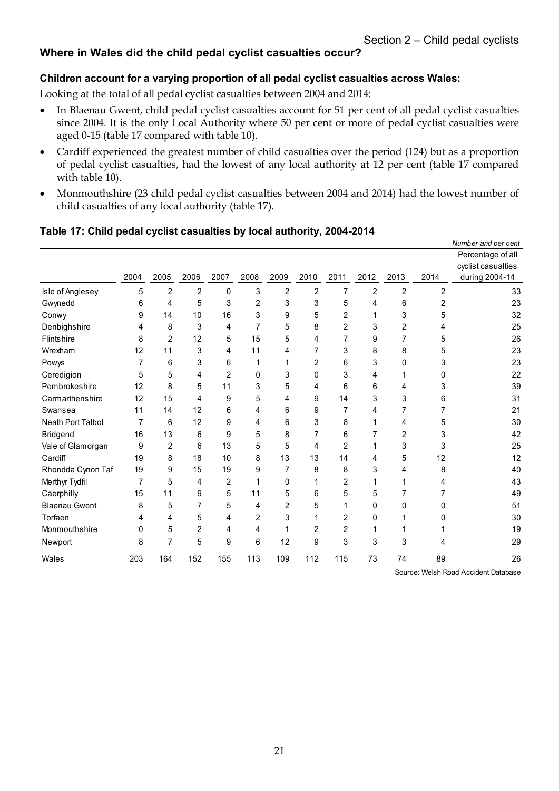# **Where in Wales did the child pedal cyclist casualties occur?**

#### **Children account for a varying proportion of all pedal cyclist casualties across Wales:**

Looking at the total of all pedal cyclist casualties between 2004 and 2014:

- In Blaenau Gwent, child pedal cyclist casualties account for 51 per cent of all pedal cyclist casualties since 2004. It is the only Local Authority where 50 per cent or more of pedal cyclist casualties were aged 0-15 (table 17 compared with table 10).
- Cardiff experienced the greatest number of child casualties over the period (124) but as a proportion of pedal cyclist casualties, had the lowest of any local authority at 12 per cent (table 17 compared with table 10).
- Monmouthshire (23 child pedal cyclist casualties between 2004 and 2014) had the lowest number of child casualties of any local authority (table 17).

|                      |                |      |                |      |              |      |                |      |      |                |                | Number and per cent                                       |
|----------------------|----------------|------|----------------|------|--------------|------|----------------|------|------|----------------|----------------|-----------------------------------------------------------|
|                      | 2004           | 2005 | 2006           | 2007 | 2008         | 2009 | 2010           | 2011 | 2012 | 2013           | 2014           | Percentage of all<br>cyclist casualties<br>during 2004-14 |
|                      |                |      |                |      |              |      |                |      |      |                |                |                                                           |
| Isle of Anglesey     | 5              | 2    | $\overline{2}$ | 0    | 3            | 2    | $\overline{2}$ | 7    | 2    | $\overline{2}$ | $\overline{2}$ | 33                                                        |
| Gwynedd              | 6              | 4    | 5              | 3    | 2            | 3    | 3              | 5    | 4    | 6              | $\overline{2}$ | 23                                                        |
| Conwy                | 9              | 14   | 10             | 16   | 3            | 9    | 5              | 2    | 1    | 3              | 5              | 32                                                        |
| Denbighshire         | 4              | 8    | 3              | 4    | 7            | 5    | 8              | 2    | 3    | 2              | 4              | 25                                                        |
| <b>Flintshire</b>    | 8              | 2    | 12             | 5    | 15           | 5    | 4              | 7    | 9    | 7              | 5              | 26                                                        |
| Wrexham              | 12             | 11   | 3              | 4    | 11           | 4    | 7              | 3    | 8    | 8              | 5              | 23                                                        |
| Powys                | 7              | 6    | 3              | 6    |              |      | 2              | 6    | 3    | 0              | 3              | 23                                                        |
| Ceredigion           | 5              | 5    | 4              | 2    | $\mathbf{0}$ | 3    | 0              | 3    | 4    | 1              | 0              | 22                                                        |
| Pembrokeshire        | 12             | 8    | 5              | 11   | 3            | 5    | 4              | 6    | 6    | 4              | 3              | 39                                                        |
| Carmarthenshire      | 12             | 15   | 4              | 9    | 5            | 4    | 9              | 14   | 3    | 3              | 6              | 31                                                        |
| Swansea              | 11             | 14   | 12             | 6    | 4            | 6    | 9              | 7    | 4    | 7              |                | 21                                                        |
| Neath Port Talbot    | $\overline{7}$ | 6    | 12             | 9    | 4            | 6    | 3              | 8    | 1    | 4              | 5              | 30                                                        |
| Bridgend             | 16             | 13   | 6              | 9    | 5            | 8    | 7              | 6    | 7    | 2              | 3              | 42                                                        |
| Vale of Glamorgan    | 9              | 2    | 6              | 13   | 5            | 5    | 4              | 2    |      | 3              | 3              | 25                                                        |
| Cardiff              | 19             | 8    | 18             | 10   | 8            | 13   | 13             | 14   | 4    | 5              | 12             | 12                                                        |
| Rhondda Cynon Taf    | 19             | 9    | 15             | 19   | 9            | 7    | 8              | 8    | 3    | 4              | 8              | 40                                                        |
| Merthyr Tydfil       | 7              | 5    | 4              | 2    |              | 0    |                | 2    |      |                | 4              | 43                                                        |
| Caerphilly           | 15             | 11   | 9              | 5    | 11           | 5    | 6              | 5    | 5    | 7              |                | 49                                                        |
| <b>Blaenau Gwent</b> | 8              | 5    | 7              | 5    | 4            | 2    | 5              |      | 0    | 0              | 0              | 51                                                        |
| Torfaen              | 4              | 4    | 5              | 4    | 2            | 3    |                | 2    | 0    |                | O              | 30                                                        |
| Monmouthshire        | 0              | 5    | $\overline{2}$ | 4    | 4            | 1    | 2              | 2    | 1    | 1              |                | 19                                                        |
| Newport              | 8              | 7    | 5              | 9    | 6            | 12   | 9              | 3    | 3    | 3              | 4              | 29                                                        |
| Wales                | 203            | 164  | 152            | 155  | 113          | 109  | 112            | 115  | 73   | 74             | 89             | 26                                                        |
|                      |                |      |                |      |              |      |                |      |      |                |                | Source: Welch Poad Accident Database                      |

# **Table 17: Child pedal cyclist casualties by local authority, 2004-2014**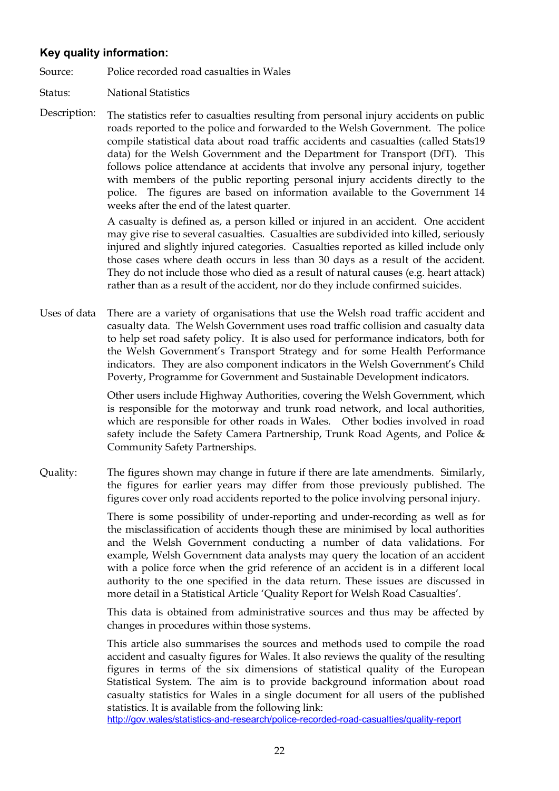# **Key quality information:**

Source: Police recorded road casualties in Wales

Status: National Statistics

Description: The statistics refer to casualties resulting from personal injury accidents on public roads reported to the police and forwarded to the Welsh Government. The police compile statistical data about road traffic accidents and casualties (called Stats19 data) for the Welsh Government and the Department for Transport (DfT). This follows police attendance at accidents that involve any personal injury, together with members of the public reporting personal injury accidents directly to the police. The figures are based on information available to the Government 14 weeks after the end of the latest quarter.

> A casualty is defined as, a person killed or injured in an accident. One accident may give rise to several casualties. Casualties are subdivided into killed, seriously injured and slightly injured categories. Casualties reported as killed include only those cases where death occurs in less than 30 days as a result of the accident. They do not include those who died as a result of natural causes (e.g. heart attack) rather than as a result of the accident, nor do they include confirmed suicides.

Uses of data There are a variety of organisations that use the Welsh road traffic accident and casualty data. The Welsh Government uses road traffic collision and casualty data to help set road safety policy. It is also used for performance indicators, both for the Welsh Government's Transport Strategy and for some Health Performance indicators. They are also component indicators in the Welsh Government's Child Poverty, Programme for Government and Sustainable Development indicators.

> Other users include Highway Authorities, covering the Welsh Government, which is responsible for the motorway and trunk road network, and local authorities, which are responsible for other roads in Wales. Other bodies involved in road safety include the Safety Camera Partnership, Trunk Road Agents, and Police & Community Safety Partnerships.

Quality: The figures shown may change in future if there are late amendments. Similarly, the figures for earlier years may differ from those previously published. The figures cover only road accidents reported to the police involving personal injury.

> There is some possibility of under-reporting and under-recording as well as for the misclassification of accidents though these are minimised by local authorities and the Welsh Government conducting a number of data validations. For example, Welsh Government data analysts may query the location of an accident with a police force when the grid reference of an accident is in a different local authority to the one specified in the data return. These issues are discussed in more detail in a Statistical Article 'Quality Report for Welsh Road Casualties'.

> This data is obtained from administrative sources and thus may be affected by changes in procedures within those systems.

> This article also summarises the sources and methods used to compile the road accident and casualty figures for Wales. It also reviews the quality of the resulting figures in terms of the six dimensions of statistical quality of the European Statistical System. The aim is to provide background information about road casualty statistics for Wales in a single document for all users of the published statistics. It is available from the following link:

<http://gov.wales/statistics-and-research/police-recorded-road-casualties/quality-report>